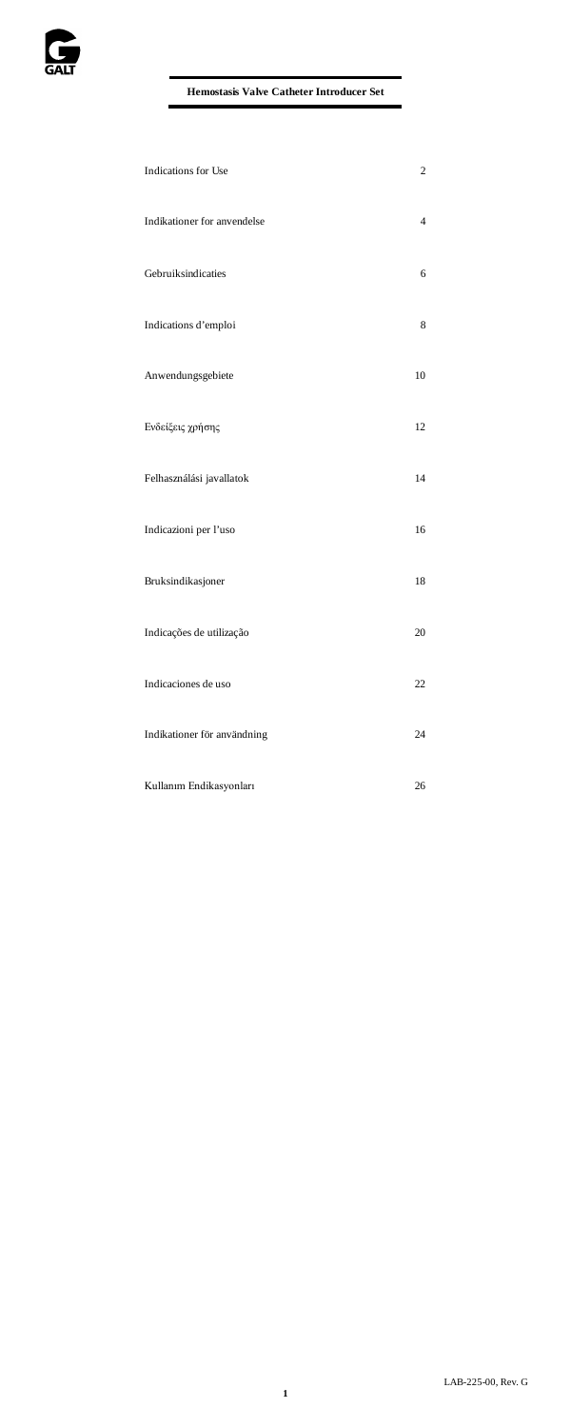| Indications for Use         | $\overline{c}$ |
|-----------------------------|----------------|
| Indikationer for anvendelse | 4              |
| Gebruiksindicaties          | 6              |
| Indications d'emploi        | 8              |
| Anwendungsgebiete           | 10             |
| Ενδείξεις χρήσης            | 12             |
| Felhasználási javallatok    | 14             |
| Indicazioni per l'uso       | 16             |
| Bruksindikasjoner           | 18             |
| Indicações de utilização    | 20             |
| Indicaciones de uso         | 22             |
| Indikationer för användning | 24             |
| Kullanım Endikasyonları     | 26             |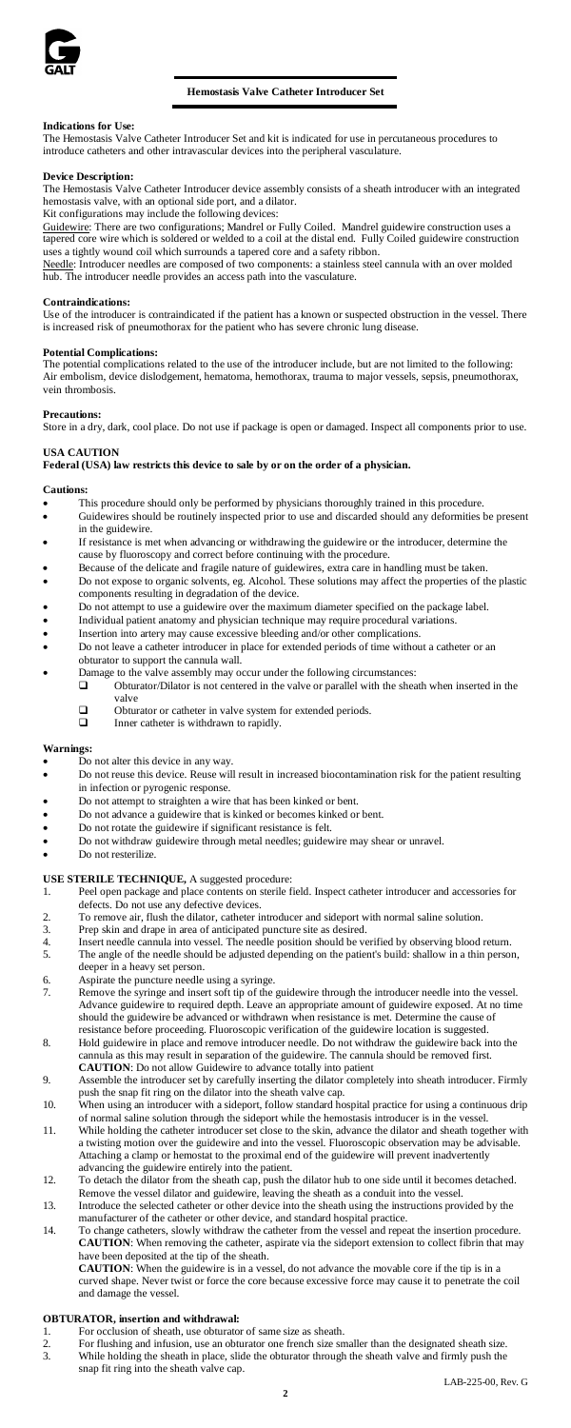

# **Hemostasis Valve Catheter Introducer Set**

# **Indications for Use:**

The Hemostasis Valve Catheter Introducer Set and kit is indicated for use in percutaneous procedures to introduce catheters and other intravascular devices into the peripheral vasculature.

### **Device Description:**

The Hemostasis Valve Catheter Introducer device assembly consists of a sheath introducer with an integrated hemostasis valve, with an optional side port, and a dilator. Kit configurations may include the following devices:

Guidewire: There are two configurations; Mandrel or Fully Coiled. Mandrel guidewire construction uses a tapered core wire which is soldered or welded to a coil at the distal end. Fully Coiled guidewire construction uses a tightly wound coil which surrounds a tapered core and a safety ribbon.

Needle: Introducer needles are composed of two components: a stainless steel cannula with an over molded<br>hub. The introducer needle provides an access path into the vasculature.

#### **Contraindications:**

Use of the introducer is contraindicated if the patient has a known or suspected obstruction in the vessel. There is increased risk of pneumothorax for the patient who has severe chronic lung disease.

#### **Potential Complications:**

The potential complications related to the use of the introducer include, but are not limited to the following: Air embolism, device dislodgement, hematoma, hemothorax, trauma to major vessels, sepsis, pneumothorax, vein thrombosis.

#### **Precautions:**

Store in a dry, dark, cool place. Do not use if package is open or damaged. Inspect all components prior to use.

# **USA CAUTION**

# **Federal (USA) law restricts this device to sale by or on the order of a physician.**

**Cautions:**

- This procedure should only be performed by physicians thoroughly trained in this procedure. • Guidewires should be routinely inspected prior to use and discarded should any deformities be present in the guidewire.
- If resistance is met when advancing or withdrawing the guidewire or the introducer, determine th
- cause by fluoroscopy and correct before continuing with the procedure. Because of the delicate and fragile nature of guidewires, extra care in handling must be taken.
- Do not expose to organic solvents, eg. Alcohol. These solutions may affect the properties of the plastic components resulting in degradation of the device.
- Do not attempt to use a guidewire over the maximum diameter specified on the package label.<br>• Individual patient anatomy and physician technique may require procedural variations
- Individual patient anatomy and physician technique may require procedural variations.<br>• Insertion into artery may cause excessive bleeding and/or other complications.
- Do not leave a catheter introducer in place for extended periods of time without a catheter or an obturator to support the cannula wall.
- Damage to the valve assembly may occur under the following circumstances:  $\Box$  Obturator/Dilator is not centered in the valve or parallel with the shea
	- Obturator/Dilator is not centered in the valve or parallel with the sheath when inserted in the valve
		- □ Obturator or catheter in valve system for extended periods.<br>□ Inner catheter is withdrawn to rapidly.
			-

### **Warnings:**

- Do not alter this device in any way.<br>• Do not reuse this device. Reuse will
- Do not reuse this device. Reuse will result in increased biocontamination risk for the patient resulting in infection or pyrogenic response.
- Do not attempt to straighten a wire that has been kinked or bent.
- Do not advance a guidewire that is kinked or becomes kinked or bent.
- Do not rotate the guidewire if significant resistance is felt. • Do not withdraw guidewire through metal needles; guidewire may shear or unravel.
- Do not resterilize.

# **USE STERILE TECHNIQUE,** A suggested procedure:

- 1. Peel open package and place contents on sterile field. Inspect catheter introducer and accessories for defects. Do not use any defective devices.
- 2. To remove air, flush the dilator, catheter introducer and sideport with normal saline solution. 3. Prep skin and drape in area of anticipated puncture site as desired.
- -
- 4. Insert needle cannula into vessel. The needle position should be verified by observing blood return. 5. The angle of the needle should be adjusted depending on the patient's build: shallow in a thin person, deeper in a heavy set person.
- 6. Aspirate the puncture needle using a syringe.<br>
7. Remove the syringe and insert soft tip of the
- 7. Remove the syringe and insert soft tip of the guidewire through the introducer needle into the vessel. Advance guidewire to required depth. Leave an appropriate amount of guidewire exposed. At no time should the guidewire be advanced or withdrawn when resistance is met. Determine the cause of resistance before proceeding. Fluoroscopic verification of the guidewire location is suggested.
- 8. Hold guidewire in place and remove introducer needle. Do not withdraw the guidewire back into the cannula as this may result in separation of the guidewire. The cannula should be removed first. **CAUTION**: Do not allow Guidewire to advance totally into patient
- 9. Assemble the introducer set by carefully inserting the dilator completely into sheath introducer. Firmly push the snap fit ring on the dilator into the sheath valve cap.
- 10. When using an introducer with a sideport, follow standard hospital practice for using a continuous drip<br>11. While the bolution through the sideport while the hemostasis introducer is in the vessel.<br>11. While holding th
- a twisting motion over the guidewire and into the vessel. Fluoroscopic observation may be advisable. Attaching a clamp or hemostat to the proximal end of the guidewire will prevent inadvertently advancing the guidewire entirely into the patient.
- 12. To detach the dilator from the sheath cap, push the dilator hub to one side until it becomes detached. Remove the vessel dilator and guidewire, leaving the sheath as a conduit into the vessel.
- 13. Introduce the selected catheter or other device into the sheath using the instructions provided by the manufacturer of the catheter or other device, and standard hospital practice.
- 14. To change catheters, slowly withdraw the catheter from the vessel and repeat the insertion procedure. **CAUTION**: When removing the catheter, aspirate via the sideport extension to collect fibrin that may have been deposited at the tip of the sheath.

**CAUTION**: When the guidewire is in a vessel, do not advance the movable core if the tip is in a curved shape. Never twist or force the core because excessive force may cause it to penetrate the coil and damage the vessel.

# **OBTURATOR, insertion and withdrawal:**

- 1. For occlusion of sheath, use obturator of same size as sheath.<br>2. For flushing and infusion, use an obturator one french size sn
- 2. For flushing and infusion, use an obturator one french size smaller than the designated sheath size.
- While holding the sheath in place, slide the obturator through the sheath valve and firmly push the snap fit ring into the sheath valve cap.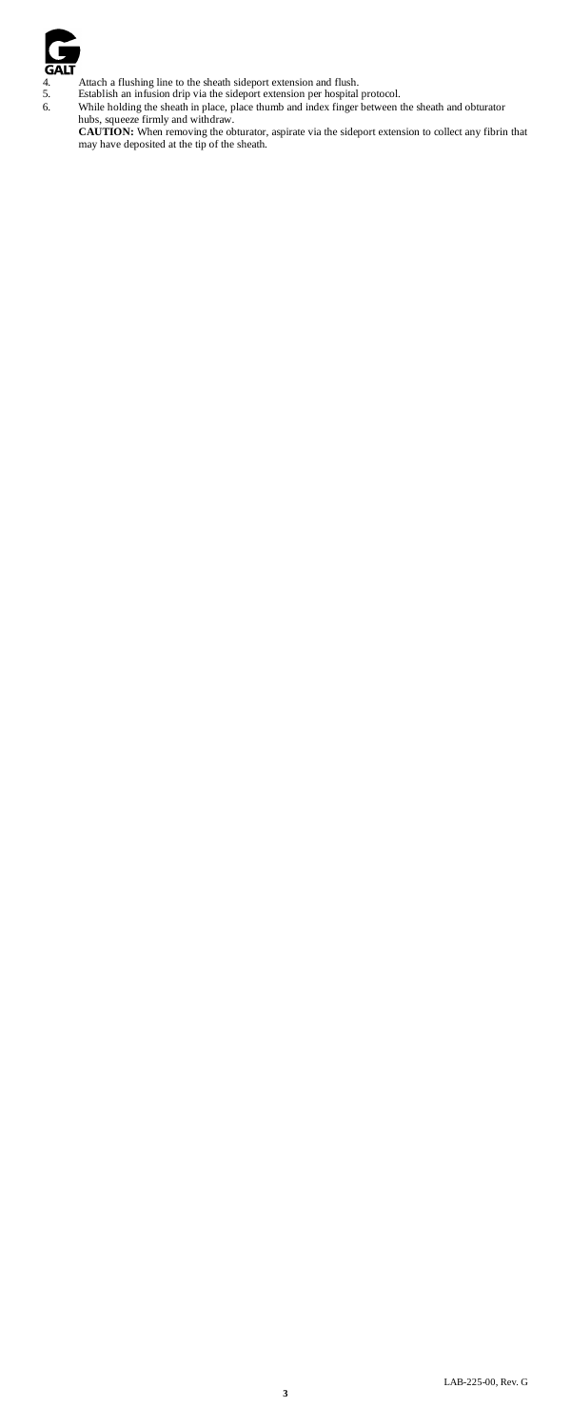

A trach a flushing line to the sheath sideport extension and flush.<br>
5. Establish an infusion drip via the sideport extension per hospital protocol.<br>
6. While holding the sheath in place, place thumb and index finger betwe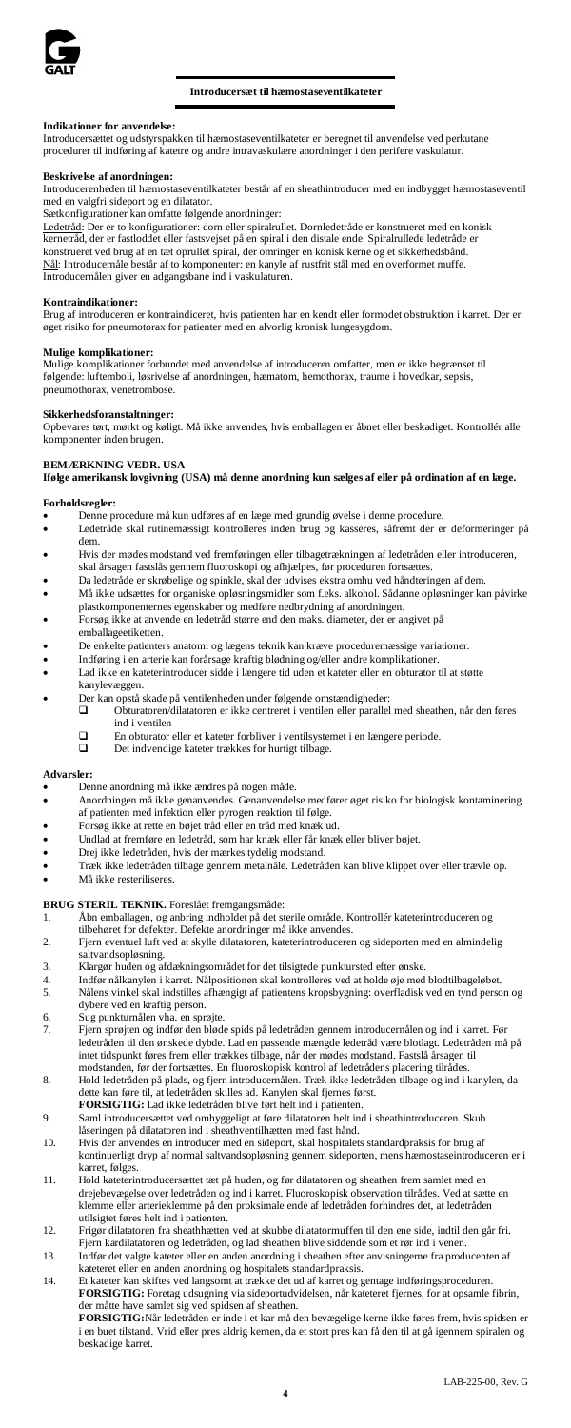

### **Introducersæt til hæmostaseventilkateter**

#### **Indikationer for anvendelse:**

Introducersættet og udstyrspakken til hæmostaseventilkateter er beregnet til anvendelse ved perkutane procedurer til indføring af katetre og andre intravaskulære anordninger i den perifere vaskul

# **Beskrivelse af anordningen:**

Introducerenheden til hæmostaseventilkateter består af en sheathintroducer med en indbygget hæmostaseventil med en valgfri sideport og en dilatator.

Sætkonfigurationer kan omfatte følgende anordninger:

<u>Ledetråd</u>: Der er to konfigurationer: dom eller spiralrullet. Dornledetråde er konstrueret med en konisk<br>kernetråd, der er fastloddet eller fastsvejset på en spiral i den distale ende. Spiralrullede ledetråde er konstrueret ved brug af en tæt oprullet spiral, der omringer en konisk kerne og et sikkerhedsbånd.<br><u>Nål</u>: Introducemåle består af to komponenter: en kanyle af rustfrit stål med en overformet muffe.<br>Introducernålen giver en

**Kontraindikationer:** Brug af introduceren er kontraindiceret, hvis patienten har en kendt eller formodet obstruktion i karret. Der er øget risiko for pneumotorax for patienter med en alvorlig kronisk lungesygdom.

#### **Mulige komplikationer:**

Mulige komplikationer forbundet med anvendelse af introduceren omfatter, men er ikke begrænset til følgende: luftemboli, løsrivelse af anordningen, hæmatom, hemothorax, traume i hovedkar, sepsis, pneumothorax, venetrombose.

### **Sikkerhedsforanstaltninger:**

Opbevares tørt, mørkt og køligt. Må ikke anvendes, hvis emballagen er åbnet eller beskadiget. Kontrollér alle komponenter inden brugen.

# **BEMÆRKNING VEDR. USA**

**Ifølge amerikansk lovgivning (USA) må denne anordning kun sælges af eller på ordination af en læge.**

### **Forholdsregler:**

- Denne procedure må kun udføres af en læge med grundig øvelse i denne procedure.
- Ledetråde skal rutinemæssigt kontrolleres inden brug og kasseres, såfremt der er deformeringer på dem.
- Hvis der mødes modstand ved fremføringen eller tilbagetrækningen af ledetråden eller introduceren, skal årsagen fastslås gennem fluoroskopi og afhjælpes, før proceduren fortsættes.
- Da ledetråde er skrøbelige og spinkle, skal der udvises ekstra omhu ved håndteringen af dem.
- Må ikke udsættes for organiske opløsningsmidler som f.eks. alkohol. Sådanne opløsninger kan påvirke
- plastkomponenternes egenskaber og medføre nedbrydning af anordningen. Forsøg ikke at anvende en ledetråd større end den maks. diameter, der er angivet på emballageetiketten.
- De enkelte patienters anatomi og lægens teknik kan kræve proceduremæssige variationer.
- 
- Indføring i en arterie kan forårsage kraftig blødning og/eller andre komplikationer. Lad ikke en kateterintroducer sidde i længere tid uden et kateter eller en obturator til at støtte kanylevæggen.
- Der kan opstå skade på ventilenheden under følgende omstændigheder:
	- Obturatoren/dilatatoren er ikke centreret i ventilen eller parallel med sheathen, når den føres ind i ventilen
	- $\square$  En obturator eller et kateter forbliver i ventilsystemet i en længere periode.<br>
	Det indvendige kateter trækkes for hurtigt tilbage.
	- Det indvendige kateter trækkes for hurtigt tilbage.

### **Advarsler:**

- Denne anordning må ikke ændres på nogen måde.<br>• Anordningen må ikke genanvendes Genanvendel
- Anordningen må ikke genanvendes. Genanvendelse medfører øget risiko for biologisk kontaminering af patienten med infektion eller pyrogen reaktion til følge.
- Forsøg ikke at rette en bøjet tråd eller en tråd med knæk ud.
- Undlad at fremføre en ledetråd, som har knæk eller får knæk eller bliver bøjet.
- Drej ikke ledetråden, hvis der mærkes tydelig modstand.
- Træk ikke ledetråden tilbage gennem metalnåle. Ledetråden kan blive klippet over eller trævle op.
- Må ikke resteriliseres

# **BRUG STERIL TEKNIK.** Foreslået fremgangsmåde:<br>1 Åbn emballagen, og anbring indholdet på det st

- 1. Åbn emballagen, og anbring indholdet på det sterile område. Kontrollér kateterintroduceren og tilbehøret for defekter. Defekte anordninger må ikke anvendes.
- 2. Fjern eventuel luft ved at skylle dilatatoren, kateterintroduceren og sideporten med en almindelig saltvandsopløsning.
- 
- 3. Klargør huden og afdækningsområdet for det tilsigtede punktursted efter ønske. 4. Indfør nålkanylen i karret. Nålpositionen skal kontrolleres ved at holde øje med blodtilbageløbet. 5. Nålens vinkel skal indstilles afhængigt af patientens kropsbygning: overfladisk ved en tynd person og dybere ved en kraftig person.
- 
- 6. Sug punkturnålen vha. en sprøjte. 7. Fjern sprøjten og indfør den bløde spids på ledetråden gennem introducernålen og ind i karret. Før ledetråden til den ønskede dybde. Lad en passende mængde ledetråd være blotlagt. Ledetråden må på intet tidspunkt føres frem eller trækkes tilbage, når der mødes modstand. Fastslå årsagen til modstanden, før der fortsættes. En fluoroskopisk kontrol af ledetrådens placering tilrådes.
- 8. Hold ledetråden på plads, og fjern introducernålen. Træk ikke ledetråden tilbage og ind i kanylen, da dette kan føre til, at ledetråden skilles ad. Kanylen skal fjernes først. **FORSIGTIG:** Lad ikke ledetråden blive ført helt ind i patienten.
- 9. Saml introducersættet ved omhyggeligt at føre dilatatoren helt ind i sheathintroduceren. Skub låseringen på dilatatoren ind i sheathventilhætten med fast hånd.
- 10. Hvis der anvendes en introducer med en sideport, skal hospitalets standardpraksis for brug af kontinuerligt dryp af normal saltvandsopløsning gennem sideporten, mens hæmostaseintroduceren er i karret, følges.
- 11. Hold kateterintroducersættet tæt på huden, og før dilatatoren og sheathen frem samlet med en drejebevægelse over ledetråden og ind i karret. Fluoroskopisk observation tilrådes. Ved at sætte en klemme eller arterieklemme på den proksimale ende af ledetråden forhindres det, at ledetråden utilsigtet føres helt ind i patienten.
- 12. Frigør dilatatoren fra sheathhætten ved at skubbe dilatatormuffen til den ene side, indtil den går fri. Fjern kardilatatoren og ledetråden, og lad sheathen blive siddende som et rør ind i venen.
- 13. Indfør det valgte kateter eller en anden anordning i sheathen efter anvisningerne fra produc
- kateteret eller en anden anordning og hospitalets standardpraksis.<br>14. Et kateter kan skiftes ved langsomt at trække det ud af karret og gentage indføringsproceduren.<br>14. EXPENGTIG: Foretag udsugning via sideportudvidelsen der måtte have samlet sig ved spidsen af sheathen.

**FORSIGTIG:**Når ledetråden er inde i et kar må den bevægelige kerne ikke føres frem, hvis spidsen er i en buet tilstand. Vrid eller pres aldrig kernen, da et stort pres kan få den til at gå igennem spiralen og beskadige karret.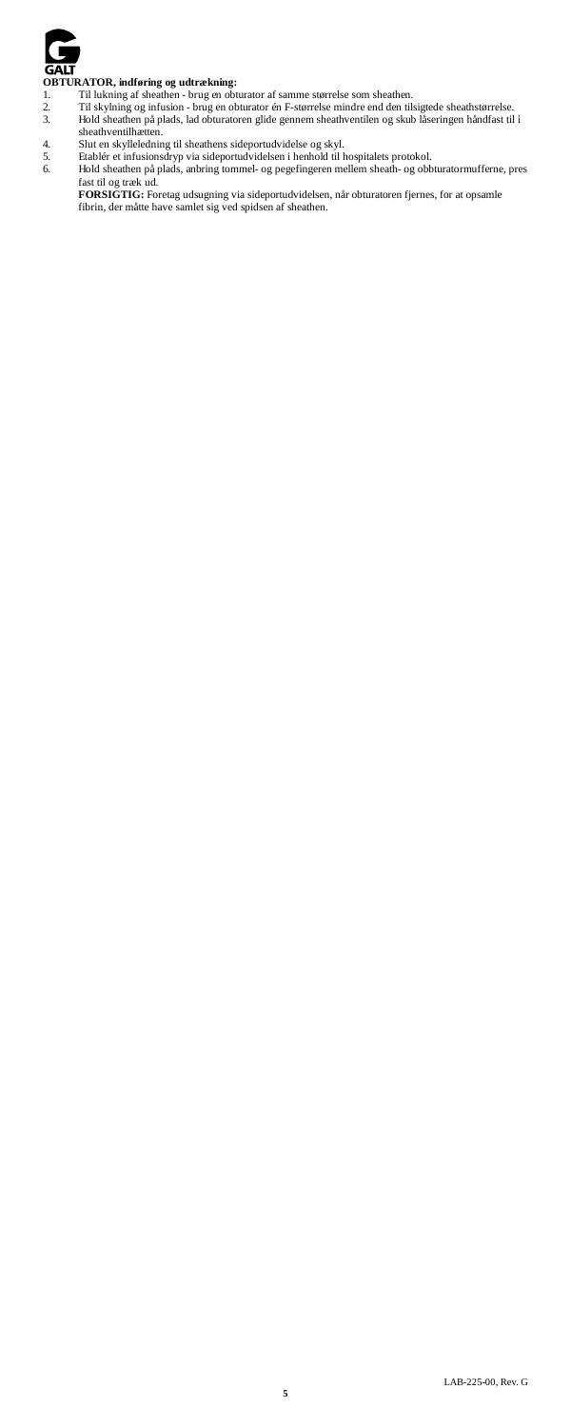

- **OBTURATOR, indføring og udtrækning:** 1. Til lukning af sheathen brug en obturator af samme størrelse som sheathen.
- 
- 
- -
- Til skylning og infusion brug en obturator én F-størrelse mindre end den tilsigtede sheathstørrelse.<br>
1. Hold sheathen på plads, lad obturatoren glide gennem sheathventilen og skub låseringen håndfast til i<br>
1. Slut en s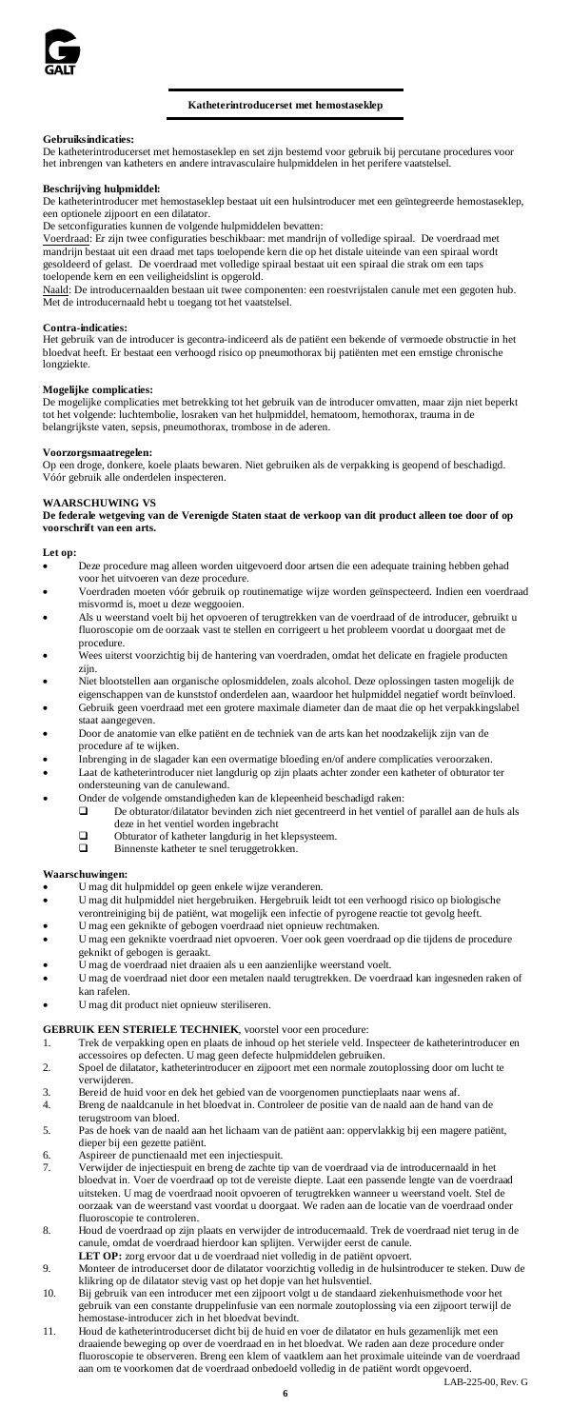

# **Katheterintroducerset met hemostaseklep**

# **Gebruiksindicaties:**

De katheterintroducerset met hemostaseklep en set zijn bestemd voor gebruik bij percutane procedures voor het inbrengen van katheters en andere intravasculaire hulpmiddelen in het perifere vaatstelsel.

# **Beschrijving hulpmiddel:**

De katheterintroducer met hemostaseklep bestaat uit een hulsintroducer met een geïntegreerde hemostaseklep, een optionele zijpoort en een dilatator.<br>De setconfiguraties kunnen de volgend

es kunnen de volgende hulpmiddelen bevatten:

Voerdraad: Er zijn twee configuraties beschikbaar: met mandrijn of volledige spiraal. De voerdraad met mandrijn bestaat uit een draad met taps toelopende kern die op het distale uiteinde van een spiraal wordt<br>gesoldeerd of gelast. De voerdraad met volledige spiraal bestaat uit een spiraal die strak om een taps<br>toelopende ke

Naald: De introducernaalden bestaan uit twee componenten: een roestvrijstalen canule met een gegoten hub.<br>Met de introducernaald hebt u toegang tot het vaatstelsel.

# **Contra-indicaties:**

Het gebruik van de introducer is gecontra-indiceerd als de patiënt een bekende of vermoede obstructie in het bloedvat heeft. Er bestaat een verhoogd risico op pneumothorax bij patiënten met een ernstige chronische longziekte.

# **Mogelijke complicaties:**

De mogelijke complicaties met betrekking tot het gebruik van de introducer omvatten, maar zijn niet beperkt tot het volgende: luchtembolie, losraken van het hulpmiddel, hematoom, hemothorax, trauma in de belangrijkste vaten, sepsis, pneumothorax, trombose in de aderen.

#### **Voorzorgsmaatregelen:**

Op een droge, donkere, koele plaats bewaren. Niet gebruiken als de verpakking is geopend of beschadigd. Vóór gebruik alle onderdelen inspecteren.

# **WAARSCHUWING VS**

**De federale wetgeving van de Verenigde Staten staat de verkoop van dit product alleen toe door of op voorschrift van een arts.**

# **Let op:**

- Deze procedure mag alleen worden uitgevoerd door artsen die een adequate training hebben gehad voor het uitvoeren van deze procedure. • Voerdraden moeten vóór gebruik op routinematige wijze worden geïnspecteerd. Indien een voerdraad
- misvormd is, moet u deze weggooien.
- Als u weerstand voelt bij het opvoeren of terugtrekken van de voerdraad of de introducer, gebruikt u fluoroscopie om de oorzaak vast te stellen en corrigeert u het probleem voordat u doorgaat met de
- procedure. Wees uiterst voorzichtig bij de hantering van voerdraden, omdat het delicate en fragiele producten zijn.
- Niet blootstellen aan organische oplosmiddelen, zoals alcohol. Deze oplossingen tasten mogelijk de eigenschappen van de kunststof onderdelen aan, waardoor het hulpmiddel negatief wordt beïnvloed.
- Gebruik geen voerdraad met een grotere maximale diameter dan de maat die op het verpakkingslabel staat aangegeven.
- Door de anatomie van elke patiënt en de techniek van de arts kan het noodzakelijk zijn van de procedure af te wijken.
- Inbrenging in de slagader kan een overmatige bloeding en/of andere complicaties veroorzaken.
- Laat de katheterintroducer niet langdurig op zijn plaats achter zonder een katheter of obturator ter
- ondersteuning van de canulewand.
	- Onder de volgende omstandigheden kan de klepeenheid beschadigd raken:<br>  $\Box$  De obturator/dilatator bevinden zich niet gecentreerd in het ventiel De obturator/dilatator bevinden zich niet gecentreerd in het ventiel of parallel aan de huls als deze in het ventiel worden ingebracht
	-
	- $\Box$  Obturator of katheter langdurig in het klepsysteem.<br>  $\Box$  Binnenste katheter te snel tenuveetrokken. Binnenste katheter te snel teruggetrokken.

# **Waarschuwingen:**

- U mag dit hulpmiddel op geen enkele wijze veranderen.
- U mag dit hulpmiddel niet hergebruiken. Hergebruik leidt tot een verhoogd risico op biologische verontreiniging bij de patiënt, wat mogelijk een infectie of pyrogene reactie tot gevolg heeft.
- U mag een geknikte of gebogen voerdraad niet opnieuw rechtmaken.
- U mag een geknikte voerdraad niet opvoeren. Voer ook geen voerdraad op die tijdens de procedure
- geknikt of gebogen is geraakt. U mag de voerdraad niet draaien als u een aanzienlijke weerstand voelt.
- U mag de voerdraad niet door een metalen naald terugtrekken. De voerdraad kan ingesneden raken of kan rafelen.
- U mag dit product niet opnieuw steriliseren.

# **GEBRUIK EEN STERIELE TECHNIEK**, voorstel voor een procedure:

- 1. Trek de verpakking open en plaats de inhoud op het steriele veld. Inspecteer de katheterintroducer en<br>2. scoessoires op defecten. U mag geen defecte hulpmiddelen gebruiken.<br>2. Spoel de dilatator, katheterintroducer en z
- verwijderen.
- 3. Bereid de huid voor en dek het gebied van de voorgenomen punctieplaats naar wens af.
- 4. Breng de naaldcanule in het bloedvat in. Controleer de positie van de naald aan de hand van de terugstroom van bloed.
- 5. Pas de hoek van de naald aan het lichaam van de patiënt aan: oppervlakkig bij een magere patiënt, dieper bij een gezette patiënt.<br>Aspireer de punctienaald met
- 6. Aspireer de punctienaald met een injectiespuit.
- 7. Verwijder de injectiespuit en breng de zachte tip van de voerdraad via de introducernaald in het bloedvat in. Voer de voerdraad op tot de vereiste diepte. Laat een passende lengte van de voerdraad uitsteken. U mag de voerdraad nooit opvoeren of terugtrekken wanneer u weerstand voelt. Stel de oorzaak van de weerstand vast voordat u doorgaat. We raden aan de locatie van de voerdraad onder fluoroscopie te controleren.
- 8. Houd de voerdraad op zijn plaats en verwijder de introducernaald. Trek de voerdraad niet terug in de canule, omdat de voerdraad hierdoor kan splijten. Verwijder eerst de canule. LET OP: zorg ervoor dat u de voerdraad niet volledig in de patiënt opvoert.
- 9. Monteer de introducerset door de dilatator voorzichtig volledig in de hulsintroducer te steken. Duw de
- klikring op de dilatator stevig vast op het dopje van het hulsventiel. 10. Bij gebruik van een introducer met een zijpoort volgt u de standaard ziekenhuismethode voor het gebruik van een constante druppelinfusie van een normale zoutoplossing via een zijpoort terwijl de hemostase-introducer zich in het bloedvat bevindt.
- 11. Houd de katheterintroducerset dicht bij de huid en voer de dilatator en huls gezamenlijk met een draaiende beweging op over de voerdraad en in het bloedvat. We raden aan deze procedure onder fluoroscopie te observeren. Breng een klem of vaatklem aan het proximale uiteinde van de voerdraad aan om te voorkomen dat de voerdraad onbedoeld volledig in de patiënt wordt opgevoerd.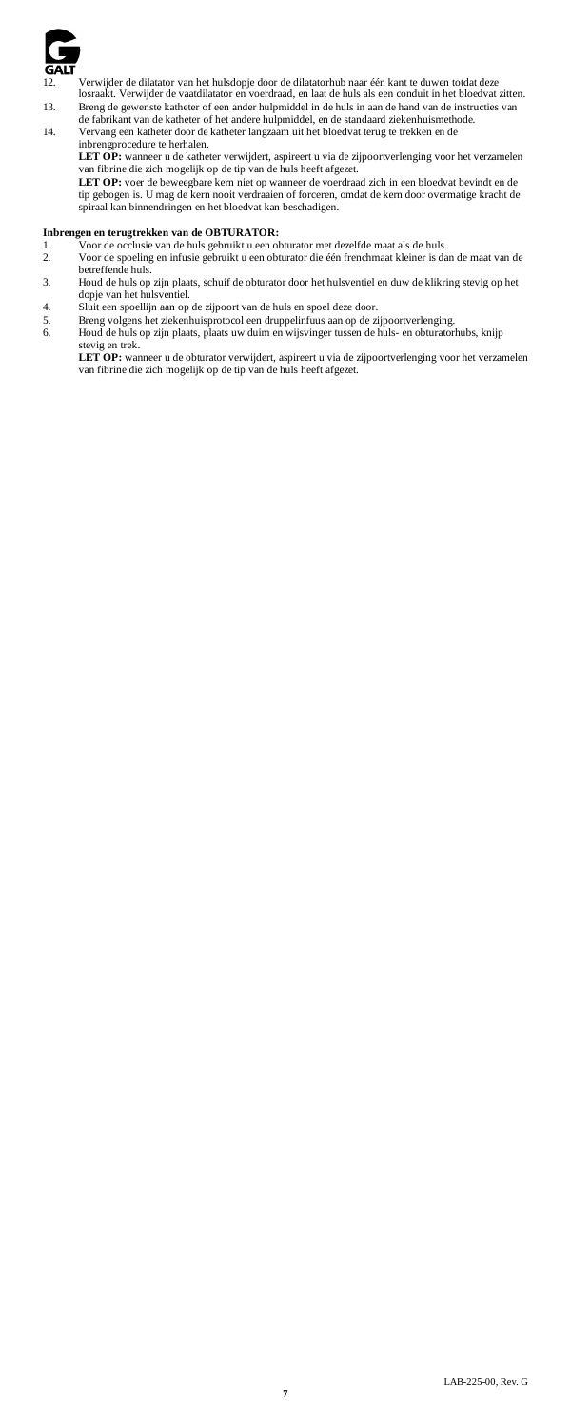

Verwijder de dilatator van het hulsdopje door de dilatatorhub naar één kant te duwen totdat deze losraakt. Verwijder de vaatdilatator en voerdraad, en laat de huls als een conduit in het bloedvat voerdraad, en laat de huls als een conduit in het bloedvat zitten.

13. Breng de gewenste katheter of een ander hulpmiddel in de huls in aan de hand van de instructies van de fabrikant van de katheter of het andere hulpmiddel, en de standaard ziekenhuismethode.

14. Vervang een katheter door de katheter langzaam uit het bloedvat terug te trekken en de

inbrengprocedure te herhalen.<br>LET OP : wanneer u de katheter verwijdert, aspireert u via de zijpoortverlenging voor het verzamelen<br>van fibrine die zich mogelijk op de tip van de huls heeft afgezet.<br>LET OP : voer de beweegb

spiraal kan binnendringen en het bloedvat kan beschadigen.

# **Inbrengen en terugtrekken van de OBTURATOR:**

- 1. Voor de occlusie van de huls gebruikt u een obturator met dezelfde maat als de huls.<br>2. Voor de spoeling en infusie gebruikt u een obturator die één frenchmaat kleiner is da
- 2. Voor de spoeling en infusie gebruikt u een obturator die één frenchmaat kleiner is dan de maat van de betreffende huls.
- 3. Houd de huls op zijn plaats, schuif de obturator door het hulsventiel en duw de klikring stevig op het dopje van het hulsventiel.
- 4. Sluit een spoellijn aan op de zijpoort van de huls en spoel deze door.
- 5. Breng volgens het ziekenhuisprotocol een druppelinfuus aan op de zijpoortverlenging. 6. Houd de huls op zijn plaats, plaats uw duim en wijsvinger tussen de huls- en obturatorhubs, knijp

stevig en trek.<br>**LET OP**: wanneer u de obturator verwijdert, aspireert u via de zijpoortverlenging voor het verzamelen<br>van fibrine die zich mogelijk op de tip van de huls heeft afgezet.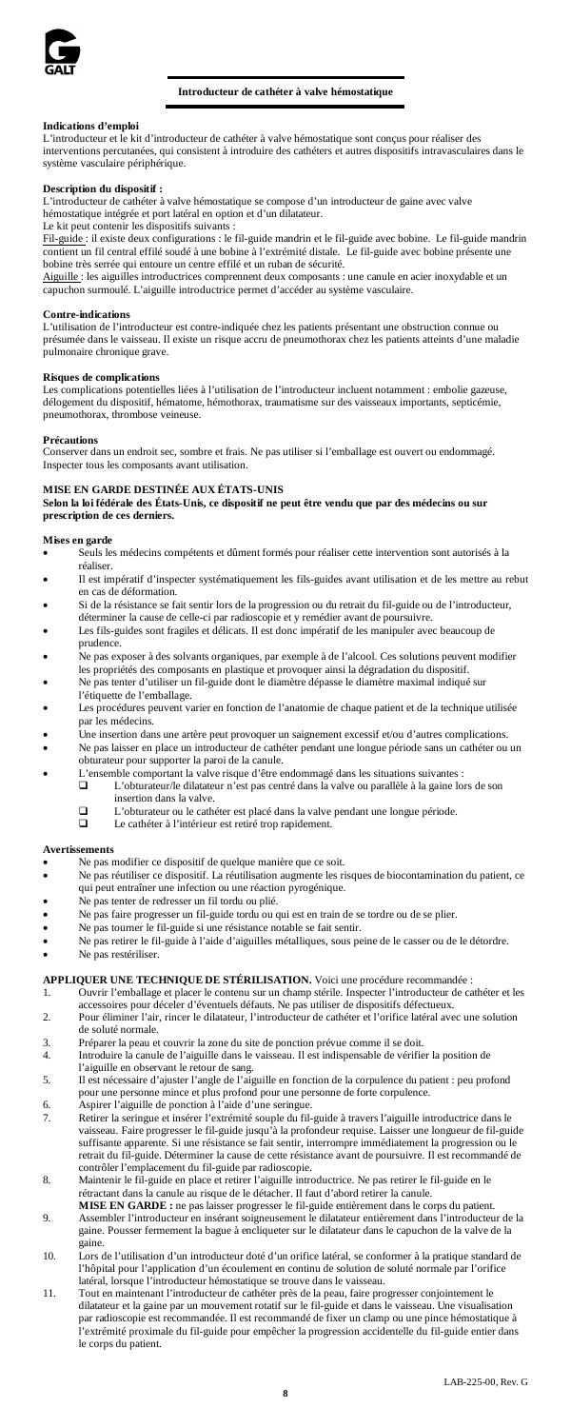

# **Introducteur de cathéter à valve hémostatique**

# **Indications d'emploi**

L'introducteur et le kit d'introducteur de cathéter à valve hémostatique sont conçus pour réaliser des interventions percutanées, qui consistent à introduire des cathéters et autres dispositifs intravasculaires dans le système vasculaire périphérique.

# **Description du dispositif :**

L'introducteur de cathéter à valve hémostatique se compose d'un introducteur de gaine avec valve hémostatique intégrée et port latéral en option et d'un dilatateur.

Le kit peut contenir les dispositifs suivants :<br><u>Fil-guide</u> : il existe deux configurations : le fil-guide mandrin et le fil-guide avec bobine. Le fil-guide mandrin contient un fil central effilé soudé à une bobine à l'extrémité distale. Le fil-guide avec bobine présente une bobine très serrée qui entoure un centre effilé et un ruban de sécurité.

Aiguille : les aiguilles introductrices comprennent deux composants : une canule en acier inoxydable et un capuchon surmoulé. L'aiguille introductrice permet d'accéder au système vasculaire.

### **Contre-indications**

L'utilisation de l'introducteur est contre-indiquée chez les patients présentant une obstruction connue ou présumée dans le vaisseau. Il existe un risque accru de pneumothorax chez les patients atteints d'une maladie pulmonaire chronique grave.

# **Risques de complications**

Les complications potentielles liées à l'utilisation de l'introducteur incluent notamment : embolie gazeuse, délogement du dispositif, hématome, hémothorax, traumatisme sur des vaisseaux importants, septicémie, pneumothorax, thrombose veineuse.

### **Précautions**

Conserver dans un endroit sec, sombre et frais. Ne pas utiliser si l'emballage est ouvert ou endommagé. Inspecter tous les composants avant utilisation.

# **MISE EN GARDE DESTINÉE AUX ÉTATS-UNIS**

**Selon la loi fédérale des États-Unis, ce dispositif ne peut être vendu que par des médecins ou sur prescription de ces derniers.**

# **Mises en garde**

- Seuls les médecins compétents et dûment formés pour réaliser cette intervention sont autorisés à la réaliser.
- Il est impératif d'inspecter systématiquement les fils-guides avant utilisation et de les mettre au rebut en cas de déformation.
- Si de la résistance se fait sentir lors de la progression ou du retrait du fil-guide ou de l'introducteur, déterminer la cause de celle-ci par radioscopie et y remédier avant de poursuivre.
- Les fils-guides sont fragiles et délicats. Il est donc impératif de les manipuler avec beaucoup de prudence.
- Ne pas exposer à des solvants organiques, par exemple à de l'alcool. Ces solutions peuvent modifier
- les propriétés des composants en plastique et provoquer ainsi la dégradation du dispositif. Ne pas tenter d'utiliser un fil-guide dont le diamètre dépasse le diamètre maximal indiqué sur l'étiquette de l'emballage.
- Les procédures peuvent varier en fonction de l'anatomie de chaque patient et de la technique utilisée par les médecins.
- Une insertion dans une artère peut provoquer un saignement excessif et/ou d'autres complications.<br>• Ne nas laisser en place un introducteur de cathéter pendant une longue période sans un cathéter ou
- Ne pas laisser en place un introducteur de cathéter pendant une longue période sans un cathéter ou un obturateur pour supporter la paroi de la canule.
- L'ensemble comportant la valve risque d'être endommagé dans les situations suivantes :<br> **I** L'obturateur/le dilatateur n'est pas centré dans la valve ou parallèle à la gaine lors de son insertion dans la valve.
	-
	- L'obturateur ou le cathéter est placé dans la valve pendant une longue période. Le cathéter à l'intérieur est retiré trop rapidement.

#### **Avertissements**

- Ne pas modifier ce dispositif de quelque manière que ce soit.<br>• Ne pas réutiliser ce dispositif I a réutilisation augmente les ri
- Ne pas réutiliser ce dispositif. La réutilisation augmente les risques de biocontamination du patient, ce qui peut entraîner une infection ou une réaction pyrogénique. • Ne pas tenter de redresser un fil tordu ou plié.
- 
- Ne pas faire progresser un fil-guide tordu ou qui est en train de se tordre ou de se plier.
- Ne pas tourner le fil-guide si une résistance notable se fait sentir.
- Ne pas retirer le fil-guide à l'aide d'aiguilles métalliques, sous peine de le casser ou de le détordre. Ne pas restériliser.

# **APPLIQUER UNE TECHNIQUE DE STÉRILISATION.** Voici une procédure recommandée :<br>1. Ouvrir l'emballage et placer le contenu sur un champ stérile. Inspecter l'introducteur de ca

- 1. Ouvrir l'emballage et placer le contenu sur un champ stérile. Inspecter l'introducteur de cathéter et les accessoires pour déceler d'éventuels défauts. Ne pas utiliser de dispositifs défectueux.
- 2. Pour éliminer l'air, rincer le dilatateur, l'introducteur de cathéter et l'orifice latéral avec une solution de soluté normale.
- 3. Préparer la peau et couvrir la zone du site de ponction prévue comme il se doit.
- 4. Introduire la canule de l'aiguille dans le vaisseau. Il est indispensable de vérifier la position de l'aiguille en observant le retour de sang.
- 5. Il est nécessaire d'ajuster l'angle de l'aiguille en fonction de la corpulence du patient : peu profond pour une personne mince et plus profond pour une personne de forte corpulence.
- 6. Aspirer l'aiguille de ponction à l'aide d'une seringue.<br>7. Retirer la seringue et insérer l'extrémité souple du fil-guide à travers l'aiguille introductrice dans le<br>19. vaisseau. Faire progresser le fil-guide jusqu'à la suffisante apparente. Si une résistance se fait sentir, interrompre immédiatement la progression ou le retrait du fil-guide. Déterminer la cause de cette résistance avant de poursuivre. Il est recommandé de
- contrôler l'emplacement du fil-guide par radioscopie. 8. Maintenir le fil-guide en place et retirer l'aiguille introductrice. Ne pas retirer le fil-guide en le
- rétractant dans la canule au risque de le détacher. Il faut d'abord retirer la canule.<br>MISE EN GARDE : ne pas laisser progresser le fil-guide entièrement dans le corps du patient.<br>Assembler l'introducteur en insérant soign gaine. Pousser fermement la bague à encliqueter sur le dilatateur dans le capuchon de la valve de la gaine.
- 10. Lors de l'utilisation d'un introducteur doté d'un orifice latéral, se conformer à la pratique stan l'hôpital pour l'application d'un écoulement en continu de solution de soluté normale par l'orifice latéral, lorsque l'introducteur hémostatique se trouve dans le vaisseau.
- 11. Tout en maintenant l'introducteur de cathéter près de la peau, faire progresser conjointement le dilatateur et la gaine par un mouvement rotatif sur le fil-guide et dans le vaisseau. Une visualisation<br>par radioscopie est recommandée. Il est recommandé de fixer un clamp ou une pince hémostatique à<br>l'extrémité proximale le corps du patient.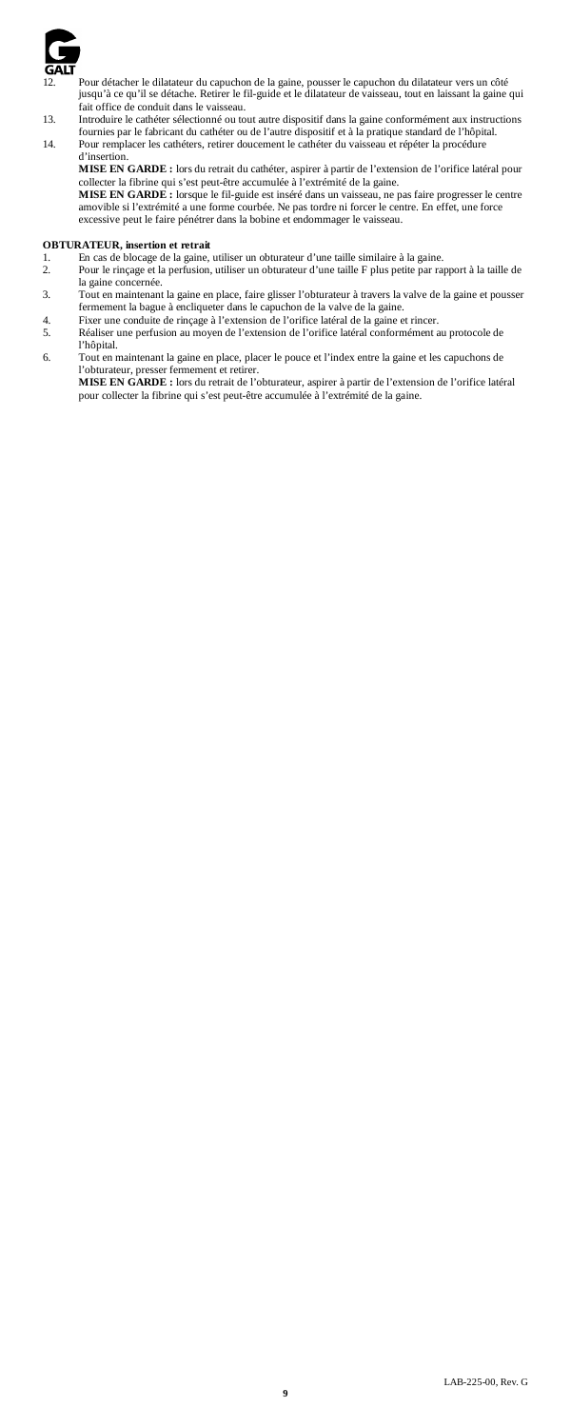

12. Pour détacher le dilatateur du capuchon de la gaine, pousser le capuchon du dilatateur vers un côté jusqu'à ce qu'il se détache. Retirer le fil-guide et le dilatateur de vaisseau, tout en laissant la gaine qui

fait office de conduit dans le vaisseau.<br>
13. Introduire le cathéter sélectionné ou tout autre dispositif dans la gaine conformément aux instructions<br>
fournies par le fabricant du cathéter ou de l'autre dispositif et à la

**MISE EN GARDE :** lors du retrait du cathéter, aspirer à partir de l'extension de l'orifice latéral pour

collecter la fibrine qui s'est peut-être accumulée à l'extrémité de la gaine. **MISE EN GARDE :** lorsque le fil-guide est inséré dans un vaisseau, ne pas faire progresser le centre amovible si l'extrémité a une forme courbée. Ne pas tordre ni forcer le centre. En effet, une force excessive peut le faire pénétrer dans la bobine et endommager le vaisseau.

- **OBTURATEUR, insertion et retrait** 1. En cas de blocage de la gaine, utiliser un obturateur d'une taille similaire à la gaine. 2. Pour le rinçage et la perfusion, utiliser un obturateur d'une taille F plus petite par rapport à la taille de
- la gaine concernée.
- 3. Tout en maintenant la gaine en place, faire glisser l'obturateur à travers la valve de la gaine et pousser
- fermement la bague à encliqueter dans le capuchon de la valve de la gaine. 4. Fixer une conduite de rinçage à l'extension de l'orifice latéral de la gaine et rincer. 5. Réaliser une perfusion au moyen de l'extension de l'orifice latéral conformément au protocole de l'hôpital.
- 6. Tout en maintenant la gaine en place, placer le pouce et l'index entre la gaine et les capuchons de l'obturateur, presser fermement et retire

**MISE EN GARDE :** lors du retrait de l'obturateur, aspirer à partir de l'extension de l'orifice latéral pour collecter la fibrine qui s'est peut-être accumulée à l'extrémité de la gaine.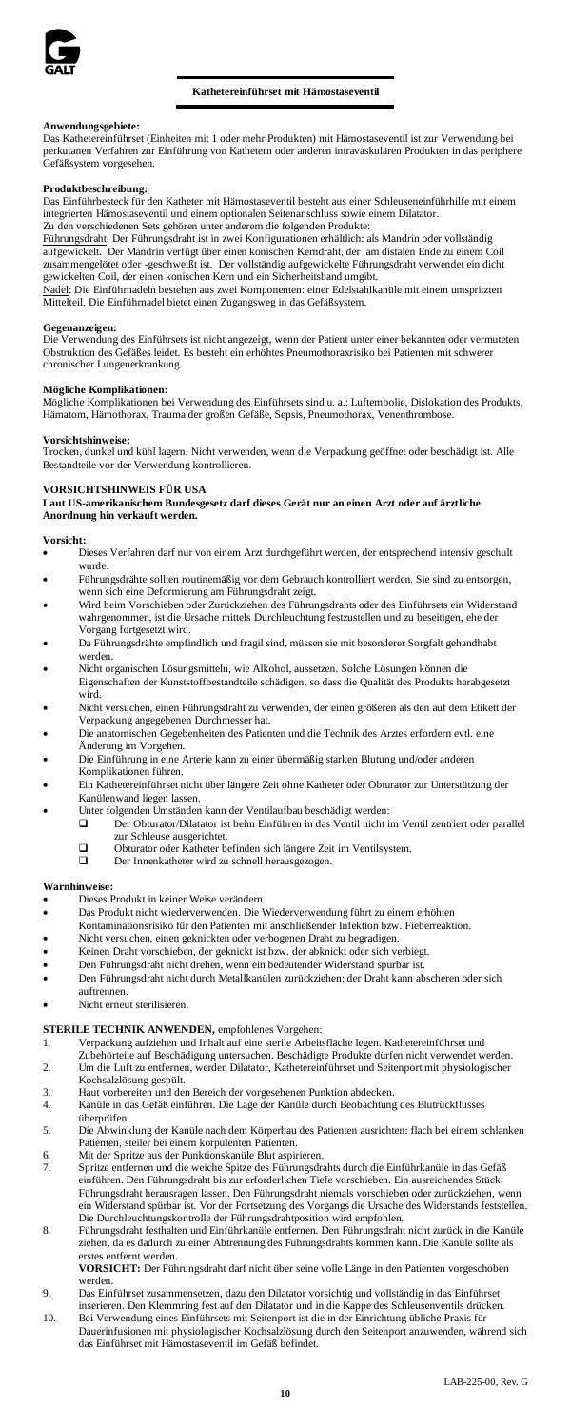

# **Kathetereinführset mit Hämostaseventil**

**Anwendungsgebiete:** Das Kathetereinführset (Einheiten mit 1 oder mehr Produkten) mit Hämostaseventil ist zur Verwendung bei perkutanen Verfahren zur Einführung von Kathetern oder anderen intravaskulären Produkten in das periphere Gefäßsystem vorgesehen.

#### Produktbeschreibu

Das Einführbesteck für den Katheter mit Hämostaseventil besteht aus einer Schleuseneinführhilfe mit einem integrierten Hämostaseventil und einem optionalen Seitenanschluss sowie einem Dilatator.<br>Zu den verschiedenen Sets gehören unter anderem die folgenden Produkte: en verschiedenen Sets gehören unter

Eührungsdraht: Der Führungsdraht ist in zwei Konfigurationen erhältlich: als Mandrin oder vollständig<br>aufgewickelt. Der Mandrin verfügt über einen konischen Kemdraht, der am distalen Ende zu einem C aufgewickelt. Der Mandrin verfügt über einen konischen Kerndraht, der am distalen Ende zu einem Coil zusammengelötet oder -geschweißt ist. Der vollständig aufgewickelte Führungsdraht verwendet ein dicht gewickelten Coil, der einen konischen Kern und ein Sicherheitsband umgibt.

Nadel: Die Einführnadeln bestehen aus zwei Komponenten: einer Edelstahlkanüle mit einem umspritzten<br>Mittelteil. Die Einführnadel bietet einen Zugangsweg in das Gefäßsystem.

**Gegenanzeigen:**<br>Die Verwendung des Einführsets ist nicht angezeigt, wenn der Patient unter einer bekannten oder vermuteten<br>Obstruktion des Gefäßes leidet. Es besteht ein erhöhtes Pneumothoraxrisiko bei Patienten mit schwe chronischer Lungenerkrankung.

#### **Mögliche Komplikationen:**

Mögliche Komplikationen bei Verwendung des Einführsets sind u. a.: Luftembolie, Dislokation des Produkts, Hämatom, Hämothorax, Trauma der großen Gefäße, Sepsis, Pneumothorax, Venenthrombose.

**Vorsichtshinweise:** Trocken, dunkel und kühl lagern. Nicht verwenden, wenn die Verpackung geöffnet oder beschädigt ist. Alle Bestandteile vor der Verwendung kontrollieren.

# **VORSICHTSHINWEIS FÜR USA**

**Laut US-amerikanischem Bundesgesetz darf dieses Gerät nur an einen Arzt oder auf ärztliche Anordnung hin verkauft werden.**

#### **Vorsicht:**

- Dieses Verfahren darf nur von einem Arzt durchgeführt werden, der entsprechend intensiv geschult wurde.
- Führungsdrähte sollten routinemäßig vor dem Gebrauch kontrolliert werden. Sie sind zu entsorgen, wenn sich eine Deformierung am Führungsdraht zeigt. • Wird beim Vorschieben oder Zurückziehen des Führungsdrahts oder des Einführsets ein Widerstand
- wahrgenommen, ist die Ursache mittels Durchleuchtung festzustellen und zu beseitigen, ehe der Vorgang fortgesetzt wird.
- Da Führungsdrähte empfindlich und fragil sind, müssen sie mit besonderer Sorgfalt gehandhabt werden.
- Nicht organischen Lösungsmitteln, wie Alkohol, aussetzen. Solche Lösungen können die Eigenschaften der Kunststoffbestandteile schädigen, so dass die Qualität des Produkts herabgesetzt wird.
- Nicht versuchen, einen Führungsdraht zu verwenden, der einen größeren als den auf dem Etikett der Verpackung angegebenen Durchmesser hat.
- Die anatomischen Gegebenheiten des Patienten und die Technik des Arztes erfordern evtl. eine Änderung im Vorgeh
- Die Einführung in eine Arterie kann zu einer übermäßig starken Blutung und/oder anderen Komplikationen führen.
- Ein Kathetereinführset nicht über längere Zeit ohne Katheter oder Obturator zur Unterstützung der Kanülenwand liegen lassen. • Unter folgenden Umständen kann der Ventilaufbau beschädigt werden: Der Obturator/Dilatator ist beim Einführen in das Ventil nicht im Ventil zentriert oder parallel
	-
	- zur Schleuse ausgerichtet.
		- Obturator oder Katheter befinden sich längere Zeit im Ventilsystem.
		- Der Innenkatheter wird zu schnell herausgezogen.

#### **Warnhinweise:**

- Dieses Produkt in keiner Weise verändern.<br>• Das Produkt nicht wiederverwenden. Die 1
- Das Produkt nicht wiederverwenden. Die Wiederverwendung führt zu einem erhöhten
- Kontaminationsrisiko für den Patienten mit anschließender Infektion bzw. Fieberreaktion.
- Nicht versuchen, einen geknickten oder verbogenen Draht zu begradigen.
- Keinen Draht vorschieben, der geknickt ist bzw. der abknickt oder sich verbiegt.
- en, wenn ein bedeutender Widerstand spürbar is
- Den Führungsdraht nicht durch Metallkanülen zurückziehen; der Draht kann abscheren oder sich auftrennen.
- Nicht erneut sterilisieren.

# **STERILE TECHNIK ANWENDEN,** empfohlenes Vorgehen:

- Verpackung aufziehen und Inhalt auf eine sterile Arbeitsfläche legen. Kathetereinführset und<br>Zubehörteile auf Beschädigung untersuchen. Beschädigte Produkte dürfen nicht verwendet werden.<br>2. Um die Luft zu entfernen, werde
- Kochsalzlösung gespült. 3. Haut vorbereiten und den Bereich der vorgesehenen Punktion abdecken.
- 4. Kanüle in das Gefäß einführen. Die Lage der Kanüle durch Beobachtung des Blutrückflusses
- überprüfen. 5. Die Abwinklung der Kanüle nach dem Körperbau des Patienten ausrichten: flach bei einem schlanken Patienten, steiler bei einem korpulenten Patienten.
- 6. Mit der Spritze aus der Punktionskanüle Blut aspirieren.
- 7. Spritze entfernen und die weiche Spitze des Führungsdrahts durch die Einführkanüle in das Gefäß einführen. Den Führungsdraht bis zur erforderlichen Tiefe vorschieben. Ein ausreichendes Stück Führungsdraht herausragen lassen. Den Führungsdraht niemals vorschieben oder zurückziehen, wenn<br>ein Widerstand spürbar ist. Vor der Fortsetzung des Vorgangs die Ursache des Widerstands feststellen.<br>Die Durchleuchtungskontr
- 8. Führungsdraht festhalten und Einführkanüle entfernen. Den Führungsdraht nicht zurück in die Kanüle ziehen, da es dadurch zu einer Abtrennung des Führungsdrahts kommen kann. Die Kanüle sollte als tes entfernt werden.

**VORSICHT:** Der Führungsdraht darf nicht über seine volle Länge in den Patienten vorgeschoben werden.

- 9. Das Einführset zusammensetzen, dazu den Dilatator vorsichtig und vollständig in das Einführset
- inserieren. Den Klemmring fest auf den Dilatator und in die Kappe des Schleusenventils drücken. 10. Bei Verwendung eines Einführsets mit Seitenport ist die in der Einrichtung übliche Praxis für Dauerinfusionen mit physiologischer Kochsalzlösung durch den Seitenport anzuwenden, während sich das Einführset mit Hämostaseventil im Gefäß befindet.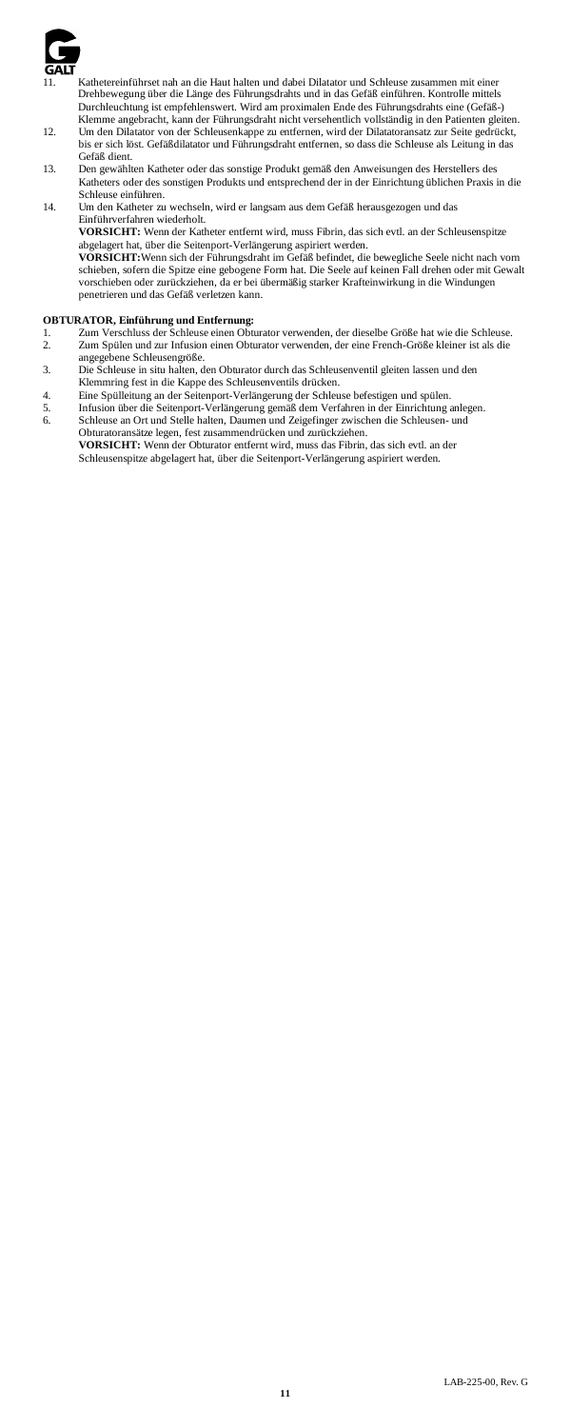

- Kathetereinführset nah an die Haut halten und dabei Dilatator und Schleuse zusammen mit einer Drehbewegung über die Länge des Führungsdrahts und in das Gefäß einführen. Kontrolle mittels Durchleuchtung ist empfehlenswert. Wird am proximalen Ende des Führungsdrahts eine (Gefäß-) Klemme angebracht, kann der Führungsdraht nicht versehentlich vollständig in den Patienten gleiten.
- 12. Um den Dilatator von der Schleusenkappe zu entfernen, wird der Dilatatoransatz zur Seite gedrückt, bis er sich löst. Gefäßdilatator und Führungsdraht entfernen, so dass die Schleuse als Leitung in das Gefäß dient.
- 13. Den gewählten Katheter oder das sonstige Produkt gemäß den Anweisungen des Herstellers des Katheters oder des sonstigen Produkts und entsprechend der in der Einrichtung üblichen Praxis in die Schleuse einführen.
- 14. Um den Katheter zu wechseln, wird er langsam aus dem Gefäß herausgezogen und das Einführverfahren wiederholt.

**VORSICHT:** Wenn der Katheter entfernt wird, muss Fibrin, das sich evtl. an der Schleusenspitze<br>abgelagert hat, über die Seitenport-Verlängerung aspiriert werden.<br>**VORSICHT:**Wenn sich der Führungsdraht im Gefäß befindet, d

schieben, sofern die Spitze eine gebogene Form hat. Die Seele auf keinen Fall drehen oder mit Gewalt vorschieben oder zurückziehen, da er bei übermäßig starker Krafteinwirkung in die Windungen penetrieren und das Gefäß verletzen kann.

- **OBTURATOR, Einführung und Entfernung:** 1. Zum Verschluss der Schleuse einen Obturator verwenden, der dieselbe Größe hat wie die Schleuse.
- 2. Zum Spülen und zur Infusion einen Obturator verwenden, der eine French-Größe kleiner ist als die angegebene Schleusengröße.
- 3. Die Schleuse in situ halten, den Obturator durch das Schleusenventil gleiten lassen und den
- Klemmring fest in die Kappe des Schleusenventils drücken. 4. Eine Spülleitung an der Seitenport-Verlängerung der Schleuse befestigen und spülen.
- 5. Infusion über die Seitenport-Verlängerung gemäß dem Verfahren in der Einrichtung anlegen. 6. Schleuse an Ort und Stelle halten, Daumen und Zeigefinger zwischen die Schleusen- und Obturatoransätze legen, fest zusammendrücken und zurückziehen.

**VORSICHT:** Wenn der Obturator entfernt wird, muss das Fibrin, das sich evtl. an der Schleusenspitze abgelagert hat, über die Seitenport-Verlängerung aspiriert werden.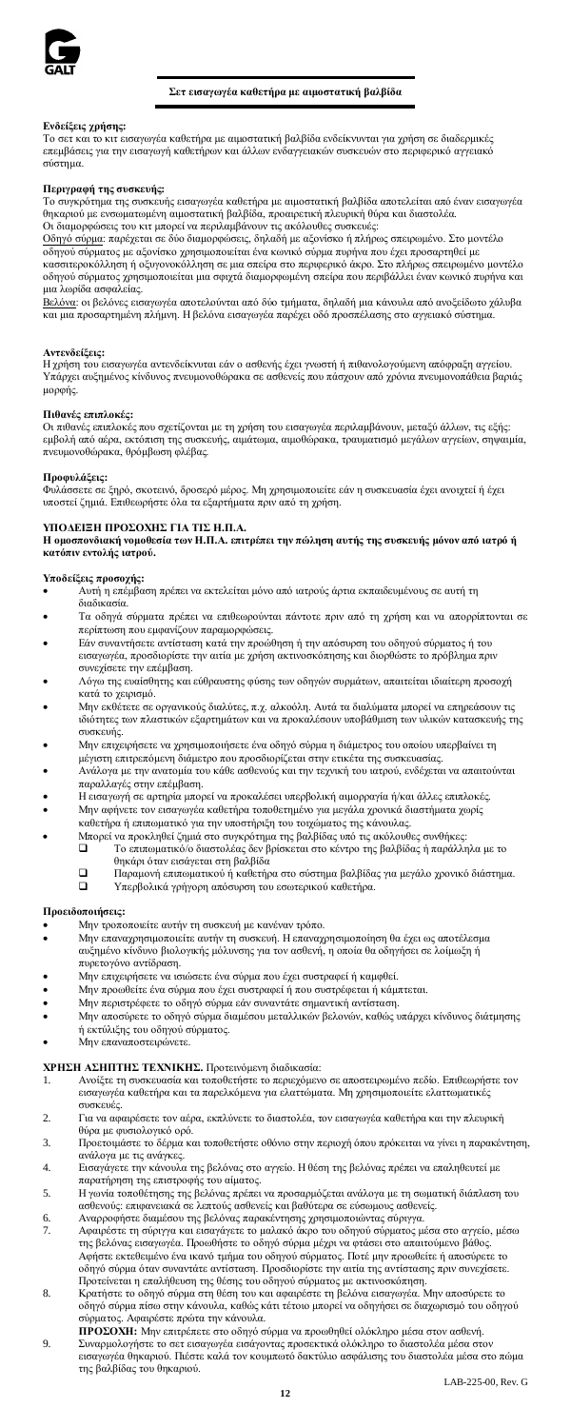

# **Σετ εισαγωγέα καθετήρα με αιμοστατική βαλβίδα**

# **Ενδείξεις χρήσης:**

Το σετ και το κιτ εισαγωγέα καθετήρα με αιμοστατική βαλβίδα ενδείκνυνται για χρήση σε διαδερμικές επεμβάσεις για την εισαγωγή καθετήρων και άλλων ενδαγγειακών συσκευών στο περιφερικό αγγειακό σύστημα.

### **Περιγραφή της συσκευής:**

Το συγκρότημα της συσκευής εισαγωγέα καθετήρα με αιμοστατική βαλβίδα αποτελείται από έναν εισαγωγέα θηκαριού με ενσωματωμένη αιμοστατική βαλβίδα, προαιρετική πλευρική θύρα και διαστολέα.<br>Οι διαμορφώσεις του κιτ μπορεί να περιλαμβάνουν τις ακόλουθες συσκευές:

Οι διαμορφώσεις του κιτ μπορεί να περιλαμβάνουν τις ακόλουθες συσκευές:<br><u>Οδηγό σύρμα</u>: παρέχεται σε δύο διαμορφώσεις, δηλαδή με αξονίσκο ή πλήρως σπειρωμένο. Στο μοντέλο<br>κάσσιτεροκόλληση ή οξυγονοκόλληση σε μια σπείρα στο μια λωρίδα ασφαλείας.

.<br><u>Βελόνα</u>: οι βελόνες εισαγωγέα αποτελούνται από δύο τμήματα, δηλαδή μια κάνουλα από ανοξείδωτο χάλυβα και μια προσαρτημένη πλήμνη. Η βελόνα εισαγωγέα παρέχει οδό προσπέλασης στο αγγειακό σύστημα.

**Αντενδείξεις:**<br>Η χρήση του εισαγωγέα αντενδείκνυται εάν ο ασθενής έχει γνωστή ή πιθανολογούμενη απόφραξη αγγείου.<br>Υπάρχει αυξημένος κίνδυνος πνευμονοθώρακα σε ασθενείς που πάσχουν από χρόνια πνευμονοπάθεια βαριάς<br>μορφής.

#### **Πιθανές επιπλοκές:**

Οι πιθανές επιπλοκές που σχετίζονται με τη χρήση του εισαγωγέα περιλαμβάνουν, μεταξύ άλλων, τις εξής: εμβολή από αέρα, εκτόπιση της συσκευής, αιμάτωμα, αιμοθώρακα, τραυματισμό μεγάλων αγγείων, σηψαιμία, πνευμονοθώρακα, θρόμβωση φλέβας.

**Προφυλάξεις:**<br>Φυλάσσετε σε ξηρό, σκοτεινό, δροσερό μέρος. Μη χρησιμοποιείτε εάν η συσκευασία έχει ανοιχτεί ή έχει<br>υποστεί ζημιά. Επιθεωρήστε όλα τα εξαρτήματα πριν από τη χρήση.

# **ΥΠΟΔΕΙΞΗ ΠΡΟΣΟΧΗΣ ΓΙΑ ΤΙΣ Η.Π.Α.**

**Η ομοσπονδιακή νομοθεσία των Η.Π.Α. επιτρέπει την πώληση αυτής της συσκευής μόνον από ιατρό ή κατόπιν εντολής ιατρού.**

# **Υποδείξεις προσοχής:**

• Αυτή η επέμβαση πρέπει να εκτελείται μόνο από ιατρούς άρτια εκπαιδευμένους σε αυτή τη διαδικασία.

- Τα οδηγά σύρματα πρέπει να επιθεωρούνται πάντοτε πριν από τη χρήση και να απορρίπτονται σε περίπτωση που εμφανίζουν παραμορφώσεις.
- Εάν συναντήσετε αντίσταση κατά την προώθηση ή την απόσυρση του οδηγού σύρματος ή του εισαγωγέα, προσδιορίστε την αιτία με χρήση ακτινοσκόπησης και διορθώστε το πρόβλημ
- συνεχίσετε την επέμβαση. Λόγω της ευαίσθητης και εύθραυστης φύσης των οδηγών συρμάτων, απαιτείται ιδιαίτερη προσοχή κατά το χειρισμό.
- Μην εκθέτετε σε οργανικούς διαλύτες, π.χ. αλκοόλη. Αυτά τα διαλύματα μπορεί να επηρεάσουν τις ιδιότητες των πλαστικών εξαρτημάτων και να προκαλέσουν υποβάθμιση των υλικών κατασκευής της συσκευής.
- Μην επιχειρήσετε να χρησιμοποιήσετε ένα οδηγό σύρμα η διάμετρος του οποίου υπερβαίνει τη μέγιστη επιτρεπόμενη διάμετρο που προσδιορίζεται στην ετικέτα της συσκευασίας.
- Ανάλογα με την ανατομία του κάθε ασθενούς και την τεχνική του ιατρού, ενδέχεται να απαιτούνται παραλλαγές στην επέμβαση.
- Η εισαγωγή σε αρτηρία μπορεί να προκαλέσει υπερβολική αιμορραγία ή/και άλλες επιπλοκές. • Μην αφήνετε τον εισαγωγέα καθετήρα τοποθετημένο για μεγάλα χρονικά διαστήματα χωρίς
- καθετήρα ή επιπωματικό για την υποστήριξη του τοιχώματος της κάνουλας.
	-
- Μπορεί να προκληθεί ζημιά στο συγκρότημα της βαλβίδας υπό τις ακόλουθες συνθήκες: Το επιπωματικό/ο διαστολέας δεν βρίσκεται στο κέντρο της βαλβίδας ή παράλληλα με το
	- θηκάρι όταν εισάγεται στη βαλβίδα<br>Παραμονή επιπωματικού ή καθετήρ
	- Παραμονή επιπωματικού ή καθετήρα στο σύστημα βαλβίδας για μεγάλο χρονικό διάστημα. Υπερβολικά γρήγορη απόσυρση του εσωτερικού καθετήρα.

- **Προειδοποιήσεις:** Μην τροποποιείτε αυτήν τη συσκευή με κανέναν τρόπο.
- Μην επαναχρησιμοποιείτε αυτήν τη συσκευή. Η επαναχρησιμοποίηση θα έχει ως αποτέλεσμα αυξημένο κίνδυνο βιολογικής μόλυνσης για τον ασθενή, η οποία θα οδηγήσει σε λοίμωξη ή πυρετογόνο αντίδραση.
- Μην επιχειρήσετε να ισιώσετε ένα σύρμα που έχει συστραφεί ή καμφθεί.
- Μην προωθείτε ένα σύρμα που έχει συστραφεί ή που συστρέφεται ή κάμπτεται.
- Μην περιστρέφετε το οδηγό σύρμα εάν συναντάτε σημαντική αντίσταση.
- Μην αποσύρετε το οδηγό σύρμα διαμέσου μεταλλικών βελονών, καθώς υπάρχει κίνδυνος διάτμησης ή εκτύλιξης του οδηγού σύρματος. • Μην επαναποστειρώνετε.
- 

# **ΧΡΗΣΗ ΑΣΗΠΤΗΣ ΤΕΧΝΙΚΗΣ.** Προτεινόμενη διαδικασία:

- 1. Ανοίξτε τη συσκευασία και τοποθετήστε το περιεχόμενο σε αποστειρωμένο πεδίο. Επιθεωρήστε τον εισαγωγέα καθετήρα και τα παρελκόμενα για ελαττώματα. Μη χρησιμοποιείτε ελαττωματικές συσκευές.
- 2. Για να αφαιρέσετε τον αέρα, εκπλύνετε το διαστολέα, τον εισαγωγέα καθετήρα και την πλευρική θύρα με φυσιολογικό ορό.
- 3. Προετοιμάστε το δέρμα και τοποθετήστε οθόνιο στην περιοχή όπου πρόκειται να γίνει η παρακέντηση, ανάλογα με τις ανάγκες.
- 4. Εισαγάγετε την κάνουλα της βελόνας στο αγγείο. Η θέση της βελόνας πρέπει να επαληθευτεί με παρατήρηση της επιστροφής του αίματος.
- 5. Η γωνία τοποθέτησης της βελόνας πρέπει να προσαρμόζεται ανάλογα με τη σωματική διάπλαση του ασθενούς: επιφανειακά σε λεπτούς ασθενείς και βαθύτερα σε εύσωμους ασθενείς. 6. Αναρροφήστε διαμέσου της βελόνας παρακέντησης χρησιμοποιώντας σύριγγα.
- 7. Αφαιρέστε τη σύριγγα και εισαγάγετε το μαλακό άκρο του οδηγού σύρματος μέσα στο αγγείο, μέσω της βελόνας εισαγωγέα. Προωθήστε το οδηγό σύρμα μέχρι να φτάσει στο απαιτούμενο βάθος. Αφήστε εκτεθειμένο ένα ικανό τμήμα του οδηγού σύρματος. Ποτέ μην προωθείτε ή αποσύρετ οδηγό σύρμα όταν συναντάτε αντίσταση. Προσδιορίστε την αιτία της αντίστασης πριν συνεχίσετε.
- Προτείνεται η επαλήθευση της θέσης του οδηγού σύρματος με ακτινοσκόπηση. 8. Κρατήστε το οδηγό σύρμα στη θέση του και αφαιρέστε τη βελόνα εισαγωγέα. Μην αποσύρετε το
- οδηγό σύρμα πίσω στην κάνουλα, καθώς κάτι τέτοιο μπορεί να οδηγήσει σε διαχωρισμό του οδηγού σύρματος. Αφαιρέστε πρώτα την κάνουλα.
- **ΠΡΟΣΟΧΗ:** Μην επιτρέπετε στο οδηγό σύρμα να προωθηθεί ολόκληρο μέσα στον ασθενή. 9. Συναρμολογήστε το σετ εισαγωγέα εισάγοντας προσεκτικά ολόκληρο το διαστολέα μέσα στον εισαγωγέα θηκαριού. Πιέστε καλά τον κουμπωτό δακτύλιο ασφάλισης του διαστολέα μέσα στο πώμα της βαλβίδας του θηκαριού.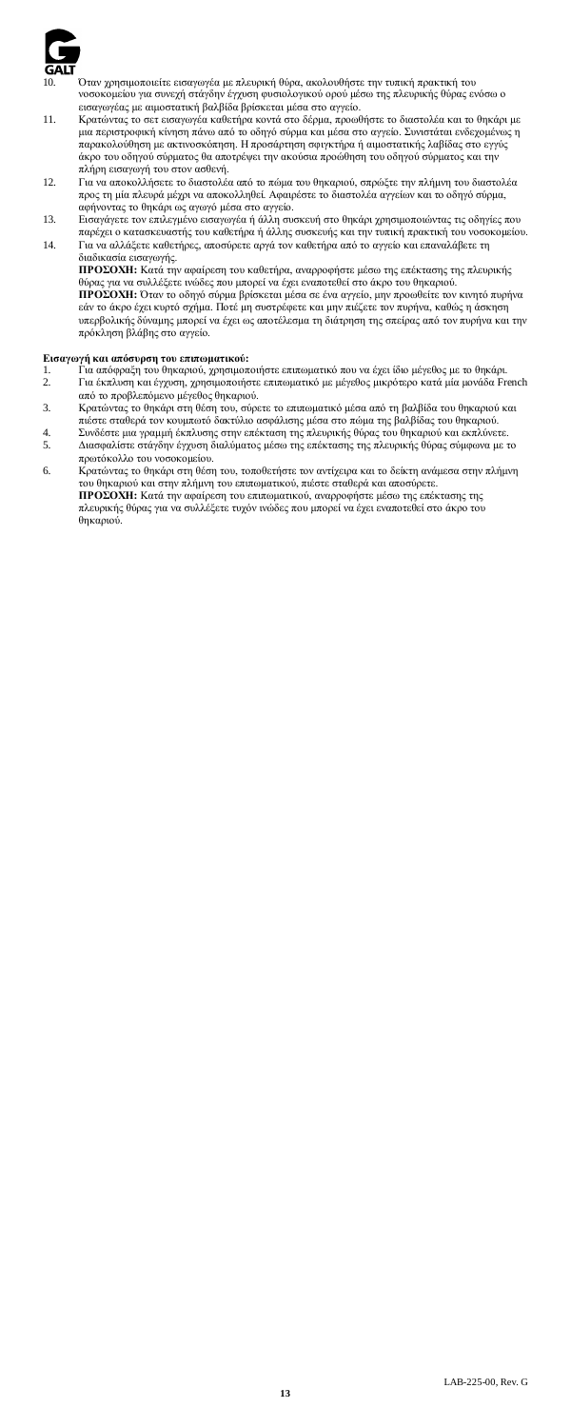

10. Όταν χρησιμοποιείτε εισαγωγέα με πλευρική θύρα, ακολουθήστε την τυπική πρακτική του νοσοκομείου για συνεχή στάγδην έγχυση φυσιολογικού ορού μέσω της πλευρικής θύρας ενόσω ο

- εισαγωγέας με αιμοστατική βαλβίδα βρίσκεται μέσα στο αγγείο.<br>11. Κρατώντας το σετ εισαγωγέα καθετήρα κοντά στο δέρμα, προωθήστε το διαστολέα και το θηκάρι με<br>μια περιστροφική κίνηση πάνω από το οδηγό σύρμα και μέσα στο αγ παρακολούθηση με ακτινοσκόπηση. Η προσάρτηση σφιγκτήρα ή αιμοστατικής λαβίδας στο εγγύς άκρο του οδηγού σύρματος θα αποτρέψει την ακούσια προώθηση του οδηγού σύρματος και την
- πλήρη εισαγωγή του στον ασθενή. 12. Για να αποκολλήσετε το διαστολέα από το πώμα του θηκαριού, σπρώξτε την πλήμνη του διαστολέα προς τη μία πλευρά μέχρι να αποκολληθεί. Αφαιρέστε το διαστολέα αγγείων και το οδηγό σύρμα,
- αφήνοντας το θηκάρι ως αγωγό μέσα στο αγγείο. 13. Εισαγάγετε τον επιλεγμένο εισαγωγέα ή άλλη συσκευή στο θηκάρι χρησιμοποιώντας τις οδηγίες που
- παρέχει ο κατασκευαστής του καθετήρα ή άλλης συσκευής και την τυπική πρακτική του νοσοκομείου. 14. Για να αλλάξετε καθετήρες, αποσύρετε αργά τον καθετήρα από το αγγείο και επαναλάβετε τη διαδικασία εισαγωγής.

**ΠΡΟΣΟΧΗ:** Κατά την αφαίρεση του καθετήρα, αναρροφήστε μέσω της επέκτασης της πλευρικής θύρας για να συλλέξετε ινώδες που μπορεί να έχει εναποτεθεί στο άκρο του θηκαριού. **ΠΡΟΣΟΧΗ:** Όταν το οδηγό σύρμα βρίσκεται μέσα σε ένα αγγείο, μην προωθείτε τον κινητό πυρήνα εάν το άκρο έχει κυρτό σχήμα. Ποτέ μη συστρέφετε και μην πιέζετε τον πυρήνα, καθώς η άσκησ υπερβολικής δύναμης μπορεί να έχει ως αποτέλεσμα τη διάτρηση της σπείρας από τον πυρήνα και την πρόκληση βλάβης στο αγγείο.

- **Εισαγωγή και απόσυρση του επιπωματικού:** 1. Για απόφραξη του θηκαριού, χρησιμοποιήστε επιπωματικό που να έχει ίδιο μέγεθος με το θηκάρι. 2. Για έκπλυση και έγχυση, χρησιμοποιήστε επιπωματικό με μέγεθος μικρότερο κατά μία μονάδα French από το προβλεπόμενο μέγεθος θηκαριού.
- 3. Κρατώντας το θηκάρι στη θέση του, σύρετε το επιπωματικό μέσα από τη βαλβίδα του θηκαριού και πιέστε σταθερά τον κουμπωτό δακτύλιο ασφάλισης μέσα στο πώμα της βαλβίδας του θηκαριού.
- 4. Συνδέστε μια γραμμή έκπλυσης στην επέκταση της πλευρικής θύρας του θηκαριού και εκπλύνετε. 5. Διασφαλίστε στάγδην έγχυση διαλύματος μέσω της επέκτασης της πλευρικής θύρας σύμφωνα με το
- πρωτόκολλο του νοσοκομείου. 6. Κρατώντας το θηκάρι στη θέση του, τοποθετήστε τον αντίχειρα και το δείκτη ανάμεσα στην πλήμνη του θηκαριού και στην πλήμνη του επιπωματικού, πιέστε σταθερά και αποσύρετε. **ΠΡΟΣΟΧΗ:** Κατά την αφαίρεση του επιπωματικού, αναρροφήστε μέσω της επέκτασης της πλευρικής θύρας για να συλλέξετε τυχόν ινώδες που μπορεί να έχει εναποτεθεί στο άκρο του θηκαριού.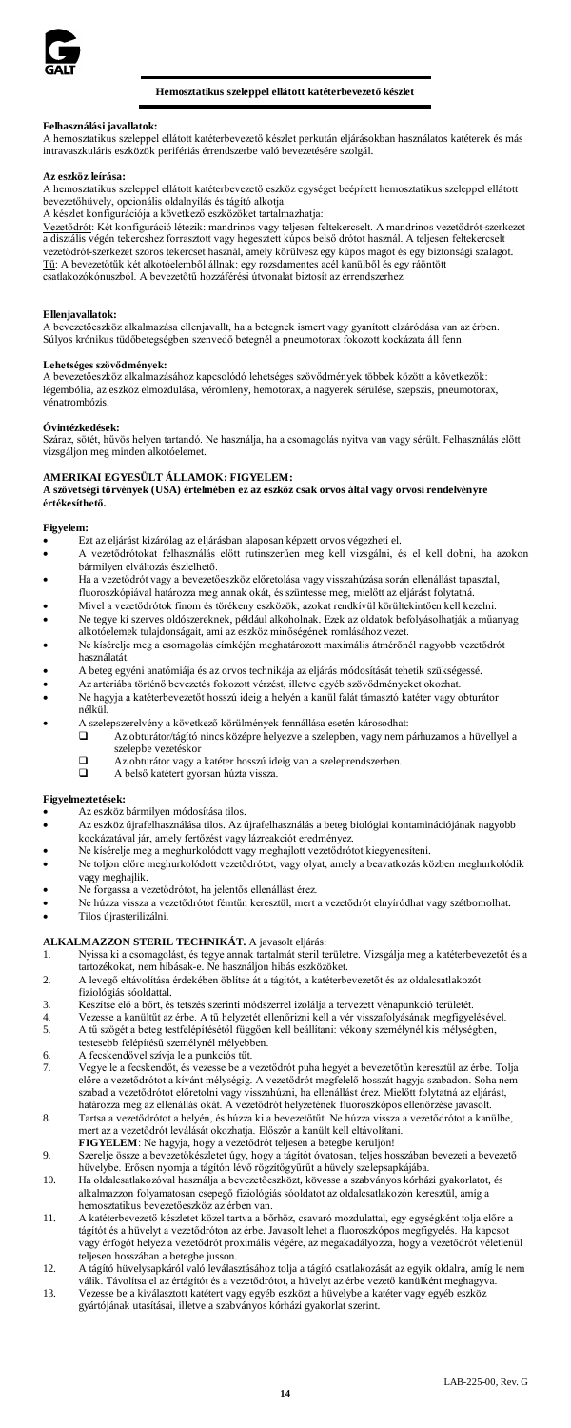

# **Hemosztatikus szeleppel ellátott katéterbevezető készlet**

# **Felhasználási javallatok:**

A hemosztatikus szeleppel ellátott katéterbevezető készlet perkután eljárásokban használatos katéterek és más intravaszkuláris eszközök perifériás érrendszerbe való bevezetésére szolgál.

### **Az eszköz leírása:**

A hemosztatikus szeleppel ellátott katéterbevezető eszköz egységet beépített hemosztatikus szeleppel ellátott bevezetőhüvely, opcionális oldalnyílás és tágító alkotja.

A készlet konfigurációja a következő eszközöket tartalmazhatja:

Vezetődrót: Két konfiguráció létezik: mandrinos vagy teljesen feltekercselt. A mandrinos vezetődrót-szerkezet a disztális végén tekercshez forrasztott vagy hegesztett kúpos belső drótot használ. A teljesen feltekercselt vezetődrót-szerkezet szoros tekercset használ, amely körülvesz egy kúpos magot és egy biztonsági szalagot.<br><u>Tű</u>: A bevezetőtűk két alkotóelemből állnak: egy rozsdamentes acél kanülből és egy ráöntött<br>csatlakozókónuszból. A

### **Ellenjavallatok:**

A bevezetőeszköz alkalmazása ellenjavallt, ha a betegnek ismert vagy gyanított elzáródása van az érben. Súlyos krónikus tüdőbetegségben szenvedő betegnél a pneumotorax fokozott kockázata áll fenn.

**Lehetséges <mark>szövődmények:</mark>**<br>A bevezetőeszköz alkalmazásához kapcsolódó lehetséges szövődmények többek között a következők: légembólia, az eszköz elmozdulása, vérömleny, hemotorax, a nagyerek sérülése, szepszis, pneumotorax, vénatrombózis.

# **Óvintézkedések:**

Száraz, sötét, hűvös helyen tartandó. Ne használja, ha a csomagolás nyitva van vagy sérült. Felhasználás előtt vizsgáljon meg minden alkotóelemet.

# **AMERIKAI EGYESÜLT ÁLLAMOK: FIGYELEM:**

**A szövetségi törvények (USA) értelmében ez az eszköz csak orvos által vagy orvosi rendelvényre értékesíthető.**

### **Figyelem:**

- Ezt az eljárást kizárólag az eljárásban alaposan képzett orvos végezheti el.
- A vezetődrótokat felhasználás előtt rutinszerűen meg kell vizsgálni, és el kell dobni, ha azokon bármilyen elváltozás észlelhető.
- Ha a vezetődrót vagy a bevezetőeszköz előretolása vagy visszahúzása során ellenállást tapasztal, fluoroszkópiával határozza meg annak okát, és szüntesse meg, mielőtt az eljárást folytatná.
- Mivel a vezetődrótok finom és törékeny eszközök, azokat rendkívül körültekintően kell kezelni. • Ne tegye ki szerves oldószereknek, például alkoholnak. Ezek az oldatok befolyásolhatják a műanyag
- alkotóelemek tulajdonságait, ami az eszköz minőségének romlásához vezet. • Ne kísérelje meg a csomagolás címkéjén meghatározott maximális átmérőnél nagyobb vezetődrót
- használatát.
- A beteg egyéni anatómiája és az orvos technikája az eljárás módosítását tehetik szükségessé.
- Az artériába történő bevezetés fokozott vérzést, illetve egyéb szövődményeket okozhat. • Ne hagyja a katéterbevezetőt hosszú ideig a helyén a kanül falát támasztó katéter vagy obturátor

### nélkül.

- A szelepszerelvény a következő körülmények fennállása esetén károsodhat:<br> $\Box$ Az obturátor/tágító nincs középre helyezve a szelepben, vagy nen
- Az obturátor/tágító nincs középre helyezve a szelepben, vagy nem párhuzamos a hüvellyel a szelepbe vezetéskor
	- $\Box$  Az obturátor vagy a katéter hosszú ideig van a szeleprendszerben.<br>
	A helső katétert gyorsan húzta vissza
		- A belső katétert gyorsan húzta vissza.

### **Figyelmeztetések:**

- Az eszköz bármilyen módosítása tilos.<br>Az eszköz újrafelhasználása tilos. Az a
- Az eszköz újrafelhasználása tilos. Az újrafelhasználás a beteg biológiai kontaminációjának nagyobb kockázatával jár, amely fertőzést vagy lázreakciót eredményez.
- Ne kísérelje meg a meghurkolódott vagy meghajlott vezetődrótot kiegyenesíteni.
- Ne toljon előre meghurkolódott vezetődrótot, vagy olyat, amely a beavatkozás közben meghurkolódik vagy meghajlik.
- Ne forgassa a vezetődrótot, ha jelentős ellenállást érez.
- Ne húzza vissza a vezetődrótot fémtűn keresztül, mert a vezetődrót elnyíródhat vagy szétbomolhat. • Tilos újrasterilizálni.

# **ALKALMAZZON STERIL TECHNIKÁT.** A javasolt eljárás:

- 1. Nyissa ki a csomagolást, és tegye annak tartalmát steril területre. Vizsgálja meg a katéterbevezetőt és a tartozékokat, nem hibásak-e. Ne használjon hibás eszközöket.
- 2. A levegő eltávolítása érdekében öblítse át a tágítót, a katéterbevezetőt és az oldalcsatlakozót fiziológiás sóoldattal.
- 
- 3. Készítse elő a bőrt, és tetszés szerinti módszerrel izolálja a tervezett vénapunkció területét. 4. Vezesse a kanültűt az érbe. A tű helyzetét ellenőrizni kell a vér visszafolyásának megfigyelésével. 5. A tű szögét a beteg testfelépítésétől függően kell beállítani: vékony személynél kis mélységben,
	- testesebb felépítésű személynél mélyebben.
- 6. A fecskendővel szívja le a punkciós tűt. 7. Vegye le a fecskendőt, és vezesse be a vezetődrót puha hegyét a bevezetőtűn keresztül az érbe. Tolja előre a vezetődrótot a kívánt mélységig. A vezetődrót megfelelő hosszát hagyja szabadon. Soha nem szabad a vezetődrótot előretolni vagy visszahúzni, ha ellenállást érez. Mielőtt folytatná az eljárást, határozza meg az ellenállás okát. A vezetődrót helyzetének fluoroszkópos ellenőrzése javasolt.
- 8. Tartsa a vezetődrótot a helyén, és húzza ki a bevezetőtűt. Ne húzza vissza a vezetődrótot a kanülbe, mert az a vezetődrót leválását okozhatja. Először a kanült kell eltávolítani. **FIGYELEM**: Ne hagyja, hogy a vezetődrót teljesen a betegbe kerüljön!
- 9. Szerelje össze a bevezetőkészletet úgy, hogy a tágítót óvatosan, teljes hosszában bevezeti a bevezető
- hüvelybe. Erősen nyomja a tágítón lévő rögzítőgyűrűt a hüvely szelepsapkájába. 10. Ha oldalcsatlakozóval használja a bevezetőeszközt, kövesse a szabványos kórházi gyakorlatot, és alkalmazzon folyamatosan csepegő fiziológiás sóoldatot az oldalcsatlakozón keresztül, amíg a hemosztatikus bevezetőeszköz az érben van.
- 11. A katéterbevezető készletet közel tartva a bőrhöz, csavaró mozdulattal, egy egységként tolja előre a tágítót és a hüvelyt a vezetődróton az érbe. Javasolt lehet a fluoroszkópos megfigyelés. Ha kapcsot vagy érfogót helyez a vezetődrót proximális végére, az megakadályozza, hogy a vezetődrót véletlenül
- teljesen hosszában a betegbe jusson. 12. A tágító hüvelysapkáról való leválasztásához tolja a tágító csatlakozását az egyik oldalra, amíg le nem válik. Távolítsa el az értágítót és a vezetődrótot, a hüvelyt az érbe vezető kanülként meghagyva.
- 13. Vezesse be a kiválasztott katétert vagy egyéb eszközt a hüvelybe a katéter vagy egyéb eszköz gyártójának utasításai, illetve a szabványos kórházi gyakorlat szerint.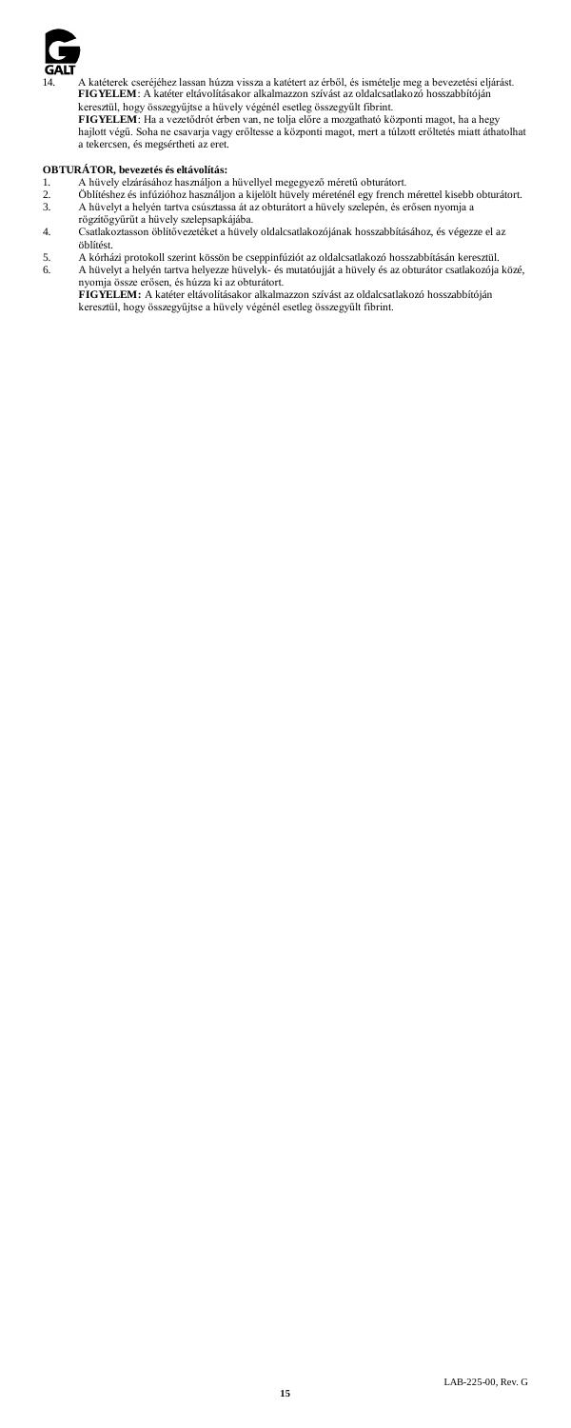

14. A katéterek cseréjéhez lassan húzza vissza a katétert az érből, és ismételje meg a bevezetési eljárást. **FIGYELEM**: A katéter eltávolításakor alkalmazzon szívást az oldalcsatlakozó hosszabbítóján

keresztül, hogy összegyűjtse a hüvely végénél esetleg összegyűlt fibrint.<br>**FIGYELEM:** Ha a vezetődrót érben van, ne tolja előre a mozgatható központi magot, ha a hegy<br>hajlott végű. Soha ne csavarja vagy erőltesse a központ a tekercsen, és megsértheti az eret.

- 
- **OBTURÁTOR, bevezetés és eltávolítás:**<br>1. A hüvely elzárásához használjon a hüvellyel megegyező méretű obturátort.<br>2. Öblítéshez és infúzióhoz használjon a kijelölt hüvely méreténél egy french mérettel kisebb obturátor 3. A hüvelyt a helyén tartva csúsztassa át az obturátort a hüvely szelepén, és erősen nyomja a rögzítőgyűrűt a hüvely szelepsapkájába.
- 4. Csatlakoztasson öblítővezetéket a hüvely oldalcsatlakozójának hosszabbításához, és végezze el az öblítést.
	- 5. A kórházi protokoll szerint kössön be cseppinfúziót az oldalcsatlakozó hosszabbításán keresztül. 6. A hüvelyt a helyén tartva helyezze hüvelyk- és mutatóujját a hüvely és az obturátor csatlakozója közé,

nyomja össze erősen, és húzza ki az obturátort. **FIGYELEM:** A katéter eltávolításakor alkalmazzon szívást az oldalcsatlakozó hosszabbítóján keresztül, hogy összegyűjtse a hüvely végénél esetleg összegyűlt fibrint.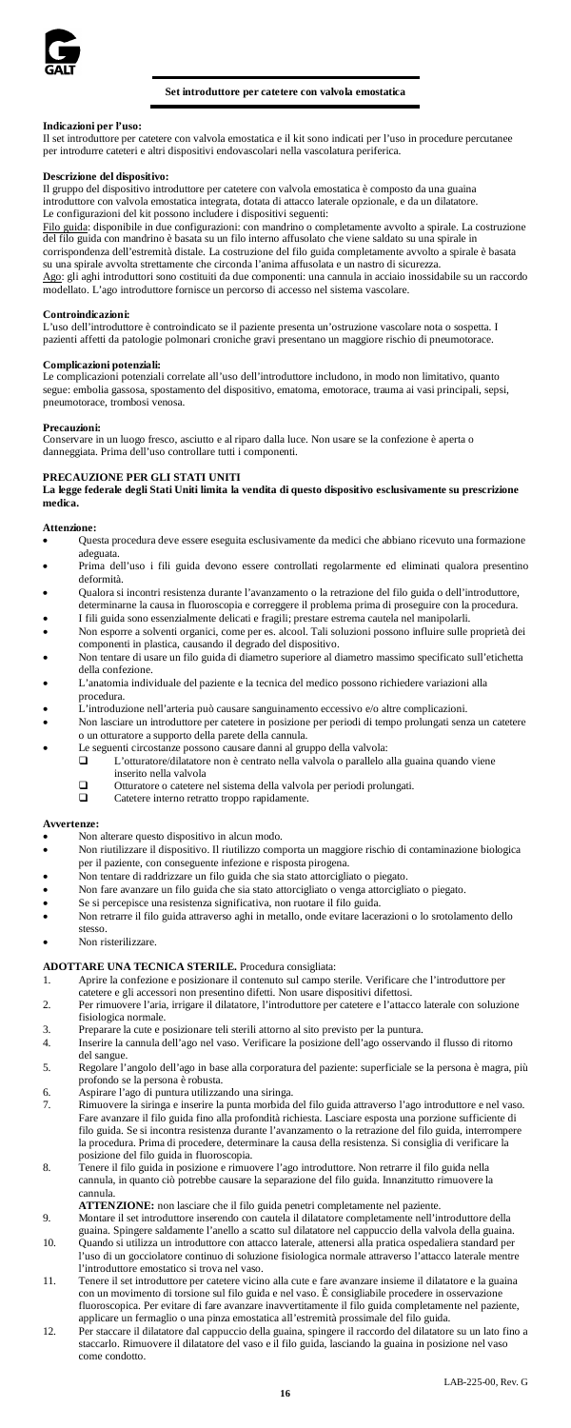

# **Set introduttore per catetere con valvola emostatica**

# **Indicazioni per l'uso:**

Il set introduttore per catetere con valvola emostatica e il kit sono indicati per l'uso in procedure percutanee per introdurre cateteri e altri dispositivi endovascolari nella vascolatura periferica.

**Descrizione del dispositivo:** Il gruppo del dispositivo introduttore per catetere con valvola emostatica è composto da una guaina introduttore con valvola emostatica integrata, dotata di attacco laterale opzionale, e da un dilatatore. Le configurazioni del kit possono includere i dispositivi seguenti:

guida: disponibile in due configurazioni: con mandrino o completamente avvolto a spirale. La costruzione del filo guida con mandrino è basata su un filo interno affusolato che viene saldato su una spirale in corrispondenza dell'estremità distale. La costruzione del filo guida completamente avvolto a spirale è bas su una spirale avvolta strettamente che circonda l'anima affusolata e un nastro di sicurezza.

Ago: gli aghi introduttori sono costituiti da due componenti: una cannula in acciaio inossidabile su un raccordo modellato. L'ago introduttore fornisce un percorso di accesso nel sistema vascolare.

# **Controindicazioni:**

L'uso dell'introduttore è controindicato se il paziente presenta un'ostruzione vascolare nota o sospetta. I pazienti affetti da patologie polmonari croniche gravi presentano un maggiore rischio di pneumotorace.

#### **Complicazioni potenziali:**

Le complicazioni potenziali correlate all'uso dell'introduttore includono, in modo non limitativo, quanto segue: embolia gassosa, spostamento del dispositivo, ematoma, emotorace, trauma ai vasi principali, sepsi, pneumotorace, trombosi venosa.

#### **Precauzioni:**

Conservare in un luogo fresco, asciutto e al riparo dalla luce. Non usare se la confezione è aperta o danneggiata. Prima dell'uso controllare tutti i componenti.

### **PRECAUZIONE PER GLI STATI UNITI**

**La legge federale degli Stati Uniti limita la vendita di questo dispositivo esclusivamente su prescrizione medica.**

#### **Attenzione:**

- Questa procedura deve essere eseguita esclusivamente da medici che abbiano ricevuto una formazione adeguata.
- Prima dell'uso i fili guida devono essere controllati regolarmente ed eliminati qualora presentino deformità.
- Qualora si incontri resistenza durante l'avanzamento o la retrazione del filo guida o dell'introduttore, determinarne la causa in fluoroscopia e correggere il problema prima di proseguire con la procedura. • I fili guida sono essenzialmente delicati e fragili; prestare estrema cautela nel manipolarli.
- Non esporre a solventi organici, come per es. alcool. Tali soluzioni possono influire sulle proprietà dei
- componenti in plastica, causando il degrado del dispositivo. Non tentare di usare un filo guida di diametro superiore al diametro massimo specificato sull'etichetta della confezione.
- L'anatomia individuale del paziente e la tecnica del medico possono richiedere variazioni alla
- procedura. L'introduzione nell'arteria può causare sanguinamento eccessivo e/o altre complicazioni.
- Non lasciare un introduttore per catetere in posizione per periodi di tempo prolungati senza un catetere o un otturatore a supporto della parete della cannula.
- 
- Le seguenti circostanze possono causare danni al gruppo della valvola: L'otturatore/dilatatore non è centrato nella valvola o parallelo alla guaina quando viene inserito nella valvola
	-
	- $\Box$  Otturatore o catetere nel sistema della valvola per periodi prolungati.<br>Catetere interno retratto troppo rapidamente Catetere interno retratto troppo rapidamente.

#### **Avvertenze:**

- Non alterare questo dispositivo in alcun modo.
- Non riutilizzare il dispositivo. Il riutilizzo comporta un maggiore rischio di contaminazione biologica per il paziente, con conseguente infezione e risposta pirogena.
- Non tentare di raddrizzare un filo guida che sia stato attorcigliato o piegato.
- Non fare avanzare un filo guida che sia stato attorcigliato o venga attorcigliato o piegato.
- Se si percepisce una resistenza significativa, non ruotare il filo guida.
- Non retrarre il filo guida attraverso aghi in metallo, onde evitare lacerazioni o lo srotolamento dello stesso.
- Non risterilizzare.

# **ADOTTARE UNA TECNICA STERILE.** Procedura consigliata:

- 1. Aprire la confezione e posizionare il contenuto sul campo sterile. Verificare che l'introduttore per
- catetere e gli accessori non presentino difetti. Non usare dispositivi difettosi. 2. Per rimuovere l'aria, irrigare il dilatatore, l'introduttore per catetere e l'attacco laterale con soluzione fisiologica normale.
- 3. Preparare la cute e posizionare teli sterili attorno al sito previsto per la puntura.
- Inserire la cannula dell'ago nel vaso. Verificare la posizione dell'ago osservando il flusso di ritorno del sangue. 5. Regolare l'angolo dell'ago in base alla corporatura del paziente: superficiale se la persona è magra, più
- profondo se la persona è robusta.
- 6. Aspirare l'ago di puntura utilizzando una siringa.
- 7. Rimuovere la siringa e inserire la punta morbida del filo guida attraverso l'ago introduttore e nel vaso. Fare avanzare il filo guida fino alla profondità richiesta. Lasciare esposta una porzione sufficiente di filo guida. Se si incontra resistenza durante l'avanzamento o la retrazione del filo guida, interrompere la procedura. Prima di procedere, determinare la causa della resistenza. Si consiglia di verificare la posizione del filo guida in fluoroscopia.
- 8. Tenere il filo guida in posizione e rimuovere l'ago introduttore. Non retrarre il filo guida nella cannula, in quanto ciò potrebbe causare la separazione del filo guida. Innanzitutto rimuovere la cannula.

**ATTENZIONE:** non lasciare che il filo guida penetri completamente nel paziente. 9. Montare il set introduttore inserendo con cautela il dilatatore completamente nell'introduttore della

- 
- guaina. Spingere saldamente l'anello a scatto sul dilatatore nel cappuccio della valvola della guaina. 10. Quando si utilizza un introduttore con attacco laterale, attenersi alla pratica ospedaliera standard per l'uso di un gocciolatore continuo di soluzione fisiologica normale attraverso l'attacco laterale mentre l'introduttore emostatico si trova nel vaso.
- 11. Tenere il set introduttore per catetere vicino alla cute e fare avanzare insieme il dilatatore e la guaina<br>
con un movimento di torsione sul filo guida e nel vaso. È consigliabile procedere in osservazione con un movimento di torsione sul filo guida e nel vaso. È consigliabile procedere in osservazi fluoroscopica. Per evitare di fare avanzare inavvertitamente il filo guida completamente nel paziente, applicare un fermaglio o una pinza emostatica all'estremità prossimale del filo guida.
- 12. Per staccare il dilatatore dal cappuccio della guaina, spingere il raccordo del dilatatore su un lato fino a staccarlo. Rimuovere il dilatatore del vaso e il filo guida, lasciando la guaina in posizione nel vaso come condotto.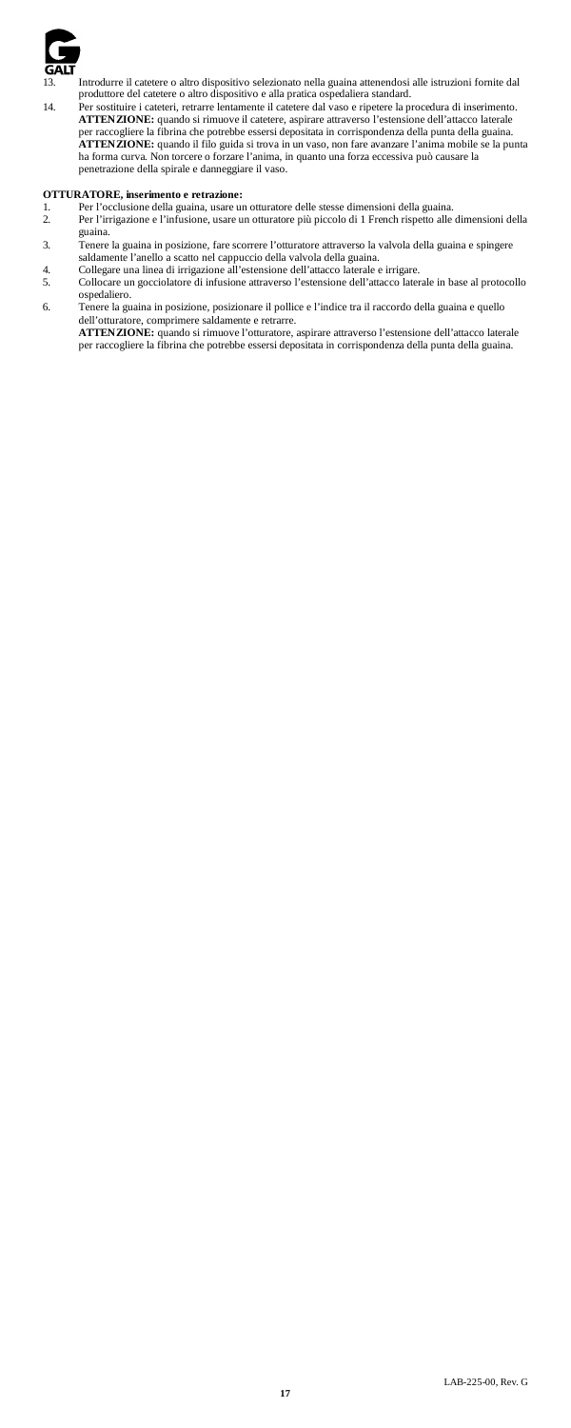

13. Introdurre il catetere o altro dispositivo selezionato nella guaina attenendosi alle istruzioni fornite dal produttore del catetere o altro dispositivo e alla pratica ospedaliera standard.

14. Per sostituire i cateteri, retrarre lentamente il catetere dal vaso e ripetere la procedura di inserimento. **ATTENZIONE:** quando si rimuove il catetere, aspirare attraverso l'estensione dell'attacco laterale per raccogliere la fibrina che potrebbe essersi depositata in corrispondenza della punta della guaina. **ATTENZIONE:** quando il filo guida si trova in un vaso, non fare avanzare l'anima mobile se la punta ha forma curva. Non torcere o forzare l'anima, in quanto una forza eccessiva può causare la penetrazione della spirale e danneggiare il vaso.

# **OTTURATORE, inserimento e retrazione:**

- 
- 1. Per l'occlusione della guaina, usare un otturatore delle stesse dimensioni della guaina. 2. Per l'irrigazione e l'infusione, usare un otturatore più piccolo di 1 French rispetto alle dimensioni della
- guaina. 3. Tenere la guaina in posizione, fare scorrere l'otturatore attraverso la valvola della guaina e spingere saldamente l'anello a scatto nel cappuccio della valvola della guaina. 4. Collegare una linea di irrigazione all'estensione dell'attacco laterale e irrigare.
- 
- 5. Collocare un gocciolatore di infusione attraverso l'estensione dell'attacco laterale in base al protocollo ospedaliero.

6. Tenere la guaina in posizione, posizionare il pollice e l'indice tra il raccordo della guaina e quello<br>dell'otturatore, comprimere saldamente e retrarre.<br>**ATTENZIONE:** quando si rimuove l'otturatore, aspirare attraverso

per raccogliere la fibrina che potrebbe essersi depositata in corrispondenza della punta della guaina.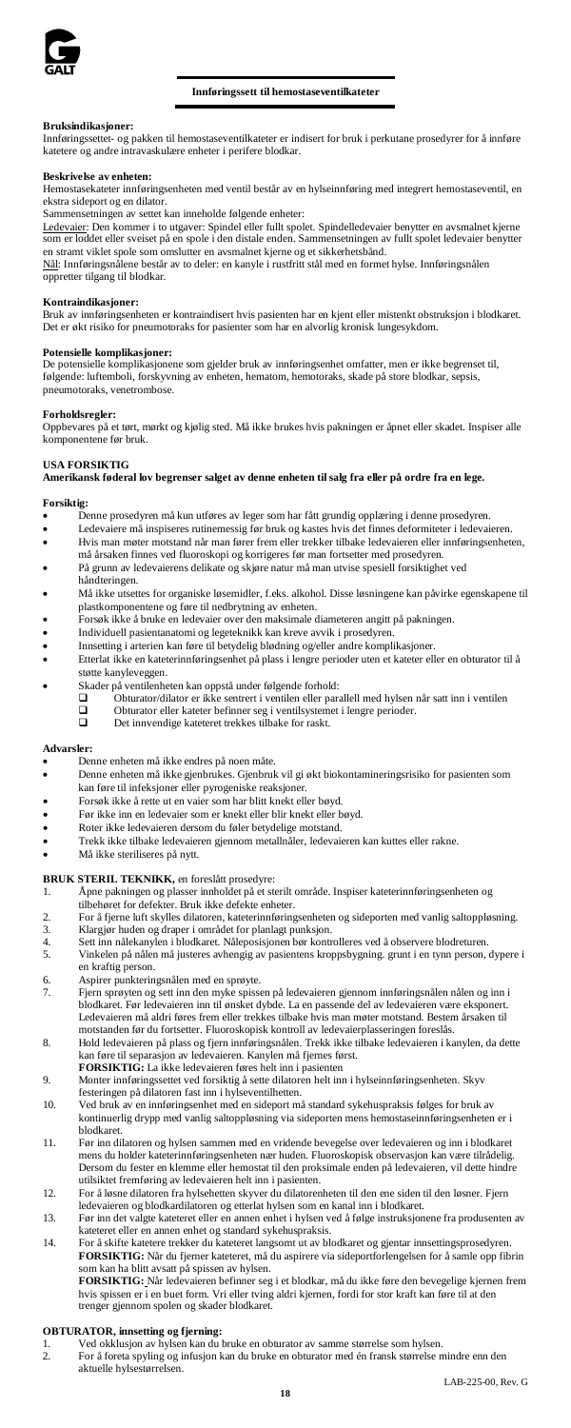

# **Innføringssett til hemostaseventilkateter**

# **Bruksindikasjoner:**

Innføringssettet- og pakken til hemostaseventilkateter er indisert for bruk i perkutane prosedyrer for å innføre katetere og andre intravaskulære enheter i perifere blodkar.

### **Beskrivelse av enheten:**

Hemostasekateter innføringsenheten med ventil består av en hylseinnføring med integrert hemostaseventil, en ekstra sideport og en dilator.

Sammensetningen av settet kan inneholde følgende enheter:<br><u>Ledevaie</u>r: Den kommer i to utgaver: Spindel eller fullt spolet. Spindelledevaier benytter en avsmalnet kjerne<br>som er loddet eller sveiset på en spole i den distal en stramt viklet spole som omslutter en avsmalnet kjerne og et sikkerhetsbånd.

Nål: Innføringsnålene består av to deler: en kanyle i rustfritt stål med en formet hylse. Innføringsnålen oppretter tilgang til blodkar.

**Kontraindikasjoner:** Bruk av innføringsenheten er kontraindisert hvis pasienten har en kjent eller mistenkt obstruksjon i blodkaret. Det er økt risiko for pneumotoraks for pasienter som har en alvorlig kronisk lungesykdom.

### **Potensielle komplikasjoner:**

De potensielle komplikasjonene som gjelder bruk av innføringsenhet omfatter, men er ikke begrenset til, følgende: luftemboli, forskyvning av enheten, hematom, hemotoraks, skade på store blodkar, sepsis, pneumotoraks, venetrombose.

#### **Forholdsregler:**

Oppbevares på et tørt, mørkt og kjølig sted. Må ikke brukes hvis pakningen er åpnet eller skadet. Inspiser alle komponentene før bruk.

#### **USA FORSIKTIG**

**Amerikansk føderal lov begrenser salget av denne enheten til salg fra eller på ordre fra en lege.**

# **Forsiktig:**

- Denne prosedyren må kun utføres av leger som har fått grundig opplæring i denne prosedyren.
- Ledevaiere må inspiseres rutinemessig før bruk og kastes hvis det finnes deformiteter i ledevaieren.
- Hvis man møter motstand når man fører frem eller trekker tilbake ledevaieren eller innføringsenheten,
- må årsaken finnes ved fluoroskopi og korrigeres før man fortsetter med prosedyren. På grunn av ledevaierens delikate og skjøre natur må man utvise spesiell forsiktighet ved håndteringen.
- Må ikke utsettes for organiske løsemidler, f.eks. alkohol. Disse løsningene kan påvirke egenskapene til
- plastkomponentene og føre til nedbrytning av enheten. Forsøk ikke å bruke en ledevaier over den maksimale diameteren angitt på pakningen.
- Individuell pasientanatomi og legeteknikk kan kreve avvik i prosedyren.
- Innsetting i arterien kan føre til betydelig blødning og/eller andre komplikasjoner.
- Etterlat ikke en kateterinnføringsenhet på plass i lengre perioder uten et kateter eller en obturator til å støtte kanyleveggen.
- 
- Skader på ventilenheten kan oppstå under følgende forhold: Obturator/dilator er ikke sentrert i ventilen eller parallell med hylsen når satt inn i ventilen Obturator eller kateter befinner seg i ventilsystemet i lengre perioder. Det innvendige kateteret trekkes tilbake for raskt.
	-

#### **Advarsler:**

- Denne enheten må ikke endres på noen måte.<br>• Denne enheten må ikke gjenhuikes. Gjenhui
- Denne enheten må ikke gjenbrukes. Gjenbruk vil gi økt biokontamineringsrisiko for pasienten som kan føre til infeksjoner eller pyrogeniske reaksjoner.
- Forsøk ikke å rette ut en vaier som har blitt knekt eller bøyd.
- Før ikke inn en ledevaier som er knekt eller blir knekt eller bøyd.
- Roter ikke ledevaieren dersom du føler betydelige motstand.
- Trekk ikke tilbake ledevaieren gjennom metallnåler, ledevaieren kan kuttes eller rakne.
- Må ikke steriliseres på nytt.

# **BRUK STERIL TEKNIKK,** en foreslått prosedyre:

- 1. Åpne pakningen og plasser innholdet på et sterilt område. Inspiser kateterinnføringsenheten og tilbehøret for defekter. Bruk ikke defekte enheter.
- 
- 2. For å fjerne luft skylles dilatoren, kateterinnføringsenheten og sideporten med vanlig saltoppløsning. 3. Klargjør huden og draper i området for planlagt punksjon.
- 
- 4. Sett inn nålekanylen i blodkaret. Nåleposisjonen bør kontrolleres ved å observere blodreturen. 5. Vinkelen på nålen må justeres avhengig av pasientens kroppsbygning. grunt i en tynn person, dypere i en kraftig person.
- 6. Aspirer punkteringsnålen med en sprøyte.
- 7. Fjern sprøyten og sett inn den myke spissen på ledevaieren gjennom innføringsnålen nålen og inn i blodkaret. Før ledevaieren inn til ønsket dybde. La en passende del av ledevaieren være eksponert. Ledevaieren må aldri føres frem eller trekkes tilbake hvis man møter motstand. Bestem årsaken til motstanden før du fortsetter. Fluoroskopisk kontroll av ledevaierplasseringen foreslås.
- 8. Hold ledevaieren på plass og fjern innføringsnålen. Trekk ikke tilbake ledevaieren i kanylen, da dette kan føre til separasjon av ledevaieren. Kanylen må fjernes først. **FORSIKTIG:** La ikke ledevaieren føres helt inn i pasienten
- 9. Monter innføringssettet ved forsiktig å sette dilatoren helt inn i hylseinnføringsenheten. Skyv
- festeringen på dilatoren fast inn i hylseventilhetten. 10. Ved bruk av en innføringsenhet med en sideport må standard sykehuspraksis følges for bruk av kontinuerlig drypp med vanlig saltoppløsning via sideporten mens hemostaseinnføringsenheten er i blodkaret.
- 11. Før inn dilatoren og hylsen sammen med en vridende bevegelse over ledevaieren og inn i blodkaret mens du holder kateterinnføringsenheten nær huden. Fluoroskopisk observasjon kan være tilrådelig. Dersom du fester en klemme eller hemostat til den proksimale enden på ledevaieren, vil dette hindre utilsiktet fremføring av ledevaieren helt inn i pasienten.
- 12. For å løsne dilatoren fra hylsehetten skyver du dilatorenheten til den ene siden til den løsner. Fjern ledevaieren og blodkardilatoren og etterlat hylsen som en kanal inn i blodkaret.
- 13. Før inn det valgte kateteret eller en annen enhet i hylsen ved å følge instruksjonene fra produsenten av kateteret eller en annen enhet og standard sykehuspraksis. 14. For å skifte katetere trekker du kateteret langsomt ut av blodkaret og gjentar innsettingsprosedyren.
- **FORSIKTIG:** Når du fjerner kateteret, må du aspirere via sideportforlengelsen for å samle opp fibrin som kan ha blitt avsatt på spissen av hylsen.

**FORSIKTIG:** Når ledevaieren befinner seg i et blodkar, må du ikke føre den bevegelige kjernen frem<br>hvis spissen er i en buet form. Vri eller tving aldri kjernen, fordi for stor kraft kan føre til at den hvis spissen er i en buet form. Vri eller tving aldri kjernen, fordi for stor kraft kan føre t trenger gjennom spolen og skader blodkaret.

**OBTURATOR, innsetting og fjerning:** 1. Ved okklusjon av hylsen kan du bruke en obturator av samme størrelse som hylsen. 2. For å foreta spyling og infusjon kan du bruke en obturator med én fransk størrelse mindre enn den aktuelle hylsestørrelsen.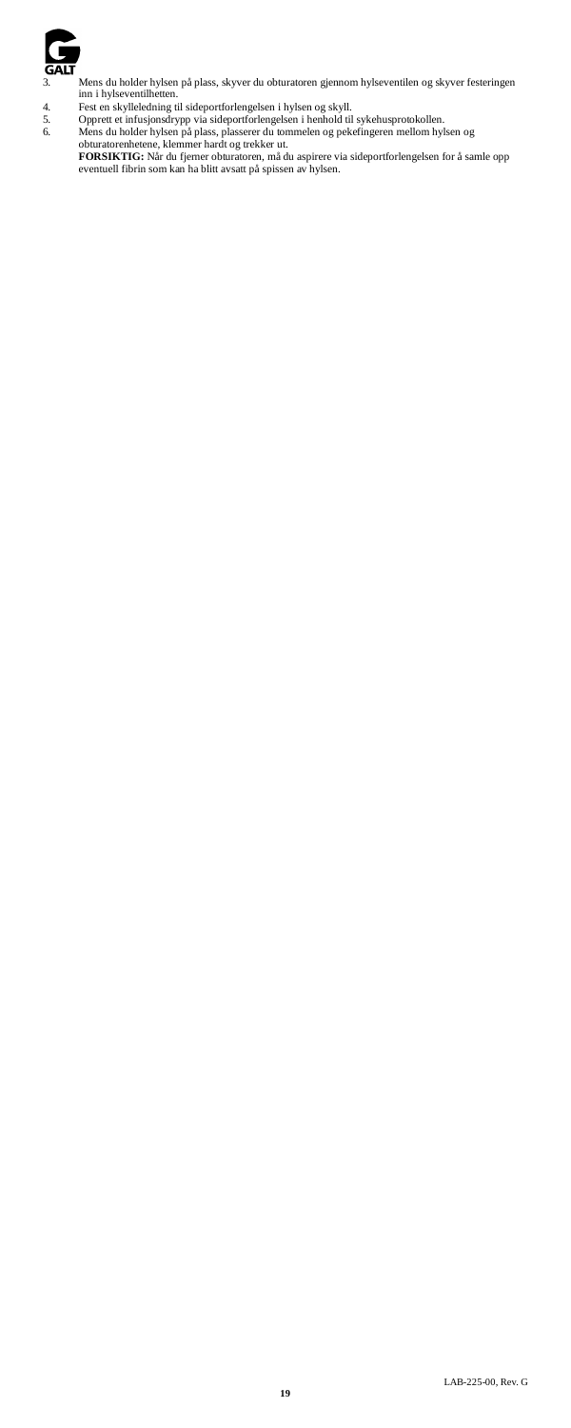

3. Mens du holder hylsen på plass, skyver du obturatoren gjennom hylseventilen og skyver festeringen inn i hylseventilhetten.

- 
- 

4. Fest en skylleledning til sideportforlengelsen i hylsen og skyll.<br>
5. Opprett et infusjonsdrypp via sideportforlengelsen i henbold til sykehusprotokollen.<br>
6. Mens du holder hylsen på plass, plasserer du tommelen og pek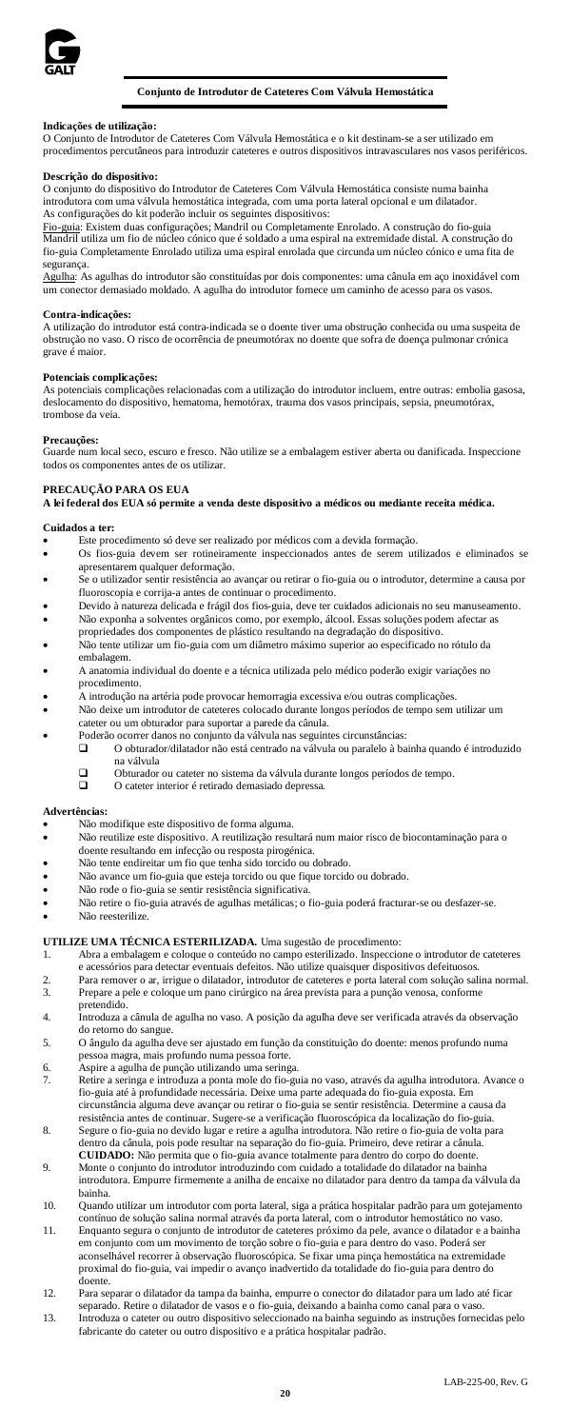

# **Conjunto de Introdutor de Cateteres Com Válvula Hemostática**

# **Indicações de utilização:**

O Conjunto de Introdutor de Cateteres Com Válvula Hemostática e o kit destinam-se a ser utilizado em procedimentos percutâneos para introduzir cateteres e outros dispositivos intravasculares nos vasos periféricos.

#### **Descrição do dispositivo:**

O conjunto do dispositivo do Introdutor de Cateteres Com Válvula Hemostática consiste numa bainha introdutora com uma válvula hemostática integrada, com uma porta lateral opcional e um dilatador.

As configurações do kit poderão incluir os seguintes dispositivos:<br><u>Fio-guia</u>: Existem duas configurações; Mandril ou Completamente Enrolado. A construção do fio-guia<br>Mandril utiliza um fio de núcleo cónico que é soldado a fio-guia Completamente Enrolado utiliza uma espiral enrolada que circunda um núcleo cónico e uma fita de

segurança.<br><u>Agulha</u>: As agulhas do introdutor são constituídas por dois componentes: uma cânula em aço inoxidável com um conector demasiado moldado. A agulha do introdutor fornece um caminho de acesso para os vasos.

# **Contra-indicações:**

A utilização do introdutor está contra-indicada se o doente tiver uma obstrução conhecida ou uma suspeita de obstrução no vaso. O risco de ocorrência de pneumotórax no doente que sofra de doença pulmonar crónica grave é m

### **Potenciais complicações:**

As potenciais complicações relacionadas com a utilização do introdutor incluem, entre outras: embolia gasosa, deslocamento do dispositivo, hematoma, hemotórax, trauma dos vasos principais, sepsia, pneumotórax, trombose da veia.

**Precauções:** Guarde num local seco, escuro e fresco. Não utilize se a embalagem estiver aberta ou danificada. Inspeccione todos os componentes antes de os utilizar.

# **PRECAUÇÃO PARA OS EUA**

**A lei federal dos EUA só permite a venda deste dispositivo a médicos ou mediante receita médica.**

# **Cuidados a ter:**

- Este procedimento só deve ser realizado por médicos com a devida formação.
- Os fios-guia devem ser rotineiramente inspeccionados antes de serem utilizados e eliminados se apresentarem qualquer deformação.<br>Se o utilizador sentir resistência ao a
- sentir resistência ao avançar ou retirar o fio-guia ou o introdutor, determine a causa por fluoroscopia e corrija-a antes de continuar o procedimento.
- Devido à natureza delicada e frágil dos fios-guia, deve ter cuidados adicionais no seu manuseamento. • Não exponha a solventes orgânicos como, por exemplo, álcool. Essas soluções podem afectar as
- propriedades dos componentes de plástico resultando na degradação do dispositivo. • Não tente utilizar um fio-guia com um diâmetro máximo superior ao especificado no rótulo da embalagem.
- A anatomia individual do doente e a técnica utilizada pelo médico poderão exigir variações no procedimento.
- A introdução na artéria pode provocar hemorragia excessiva e/ou outras complicações.
- Não deixe um introdutor de cateteres colocado durante longos períodos de tempo sem utilizar um cateter ou um obturador para suportar a parede da cânula.
- Poderão ocorrer danos no conjunto da válvula nas seguintes circunstâncias:<br>
 O obturador/dilatador não está centrado na válvula ou paralelo à ba
	- O obturador/dilatador não está centrado na válvula ou paralelo à bainha quando é introduzido na válvula
	- Obturador ou cateter no sistema da válvula durante longos períodos de tempo. O cateter interior é retirado demasiado depressa.
	-

### **Advertências:**

- Não modifique este dispositivo de forma alguma.
- Não reutilize este dispositivo. A reutilização resultará num maior risco de biocontaminação para o doente resultando em infecção ou resposta pirogénica.
- Não tente endireitar um fio que tenha sido torcido ou dobrado.
- Não avance um fio-guia que esteja torcido ou que fique torcido ou dobrado.
- Não rode o fio-guia se sentir resistência significativa.
- Não retire o fio-guia através de agulhas metálicas; o fio-guia poderá fracturar-se ou desfazer-se. • Não reesterilize.

# **UTILIZE UMA TÉCNICA ESTERILIZADA.** Uma sugestão de procedimento:

- 1. Abra a embalagem e coloque o conteúdo no campo esterilizado. Inspeccione o introdutor de cateteres e acessórios para detectar eventuais defeitos. Não utilize quaisquer dispositivos defeituosos.
- 2. Para remover o ar, irrigue o dilatador, introdutor de cateteres e porta lateral com solução salina normal.<br>3. Prepare a pele e coloque um pano cirúrgico na área prevista para a punção venosa, conforme 3. Prepare a pele e coloque um pano cirúrgico na área prevista para a punção venosa, conforme
- pretendido. 4. Introduza a cânula de agulha no vaso. A posição da agulha deve ser verificada através da observação
- do retorno do sangue. 5. O ângulo da agulha deve ser ajustado em função da constituição do doente: menos profundo numa
- pessoa magra, mais profundo numa pessoa forte. 6. Aspire a agulha de punção utilizando uma seringa.
- 
- Retire a seringa e introduza a ponta mole do fio-guia no vaso, através da agulha introdutora. Avance o fio-guia até à profundidade necessária. Deixe uma parte adequada do fio-guia exposta. Em circunstância alguma deve avançar ou retirar o fio-guia se sentir resistência. Determine a causa da
- resistência antes de continuar. Sugere-se a verificação fluoroscópica da localização do fio-guia. 8. Segure o fio-guia no devido lugar e retire a agulha introdutora. Não retire o fio-guia de volta para dentro da cânula, pois pode resultar na separação do fio-guia. Primeiro, deve retirar a cânula.
- **CUIDADO:** Não permita que o fio-guia avance totalmente para dentro do corpo do doente. 9. Monte o conjunto do introdutor introduzindo com cuidado a totalidade do dilatador na bainha introdutora. Empurre firmemente a anilha de encaixe no dilatador para dentro da tampa da válvula da bainha.
- 10. Quando utilizar um introdutor com porta lateral, siga a prática hospitalar padrão para um gotejamento contínuo de solução salina normal através da porta lateral, com o introdutor hemostático no vaso.
- 11. Enquanto segura o conjunto de introdutor de cateteres próximo da pele, avance o dilatador e a bainha em conjunto com um movimento de torção sobre o fio-guia e para dentro do vaso. Poderá ser aconselhável recorrer à observação fluoroscópica. Se fixar uma pinça hemostática na extremidade proximal do fio-guia, vai impedir o avanço inadvertido da totalidade do fio-guia para dentro do doente.
- 12. Para separar o dilatador da tampa da bainha, empurre o conector do dilatador para um lado até ficar
- separado. Retire o dilatador de vasos e o fio-guia, deixando a bainha como canal para o vaso.<br>13. Introduza o cateter ou outro dispositivo seleccionado na bainha seguindo as instruções fornecidas pelo<br>fabricante do cateter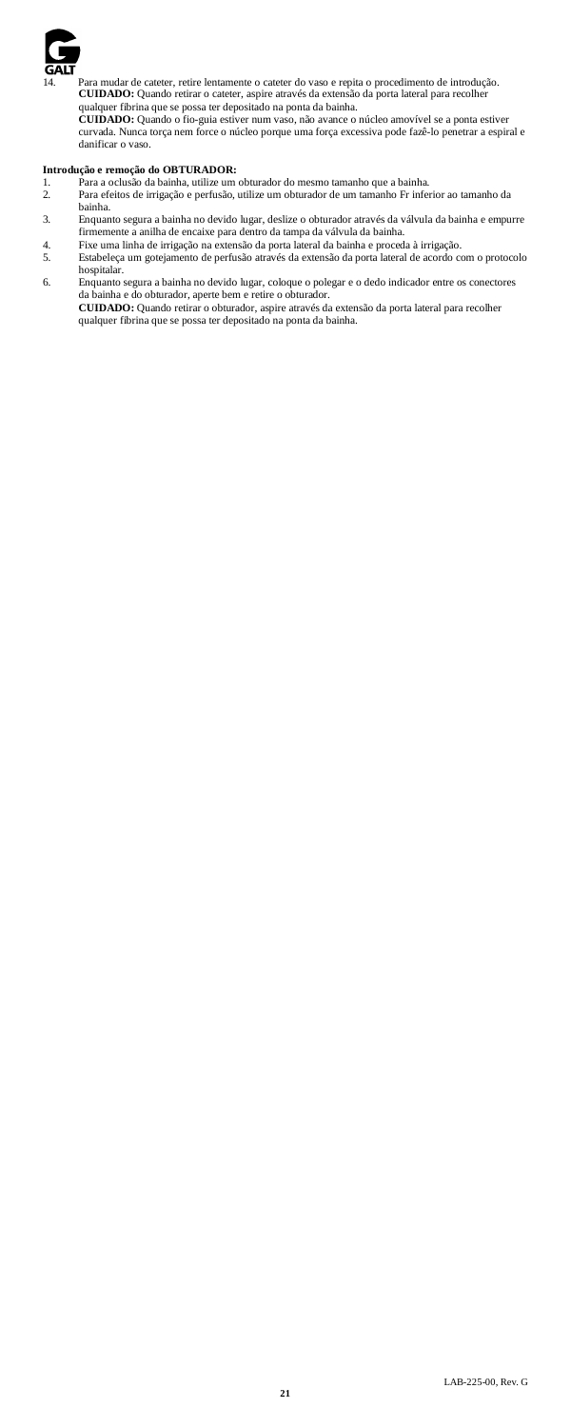

14. Para mudar de cateter, retire lentamente o cateter do vaso e repita o procedimento de introdução. **CUIDADO:** Quando retirar o cateter, aspire através da extensão da porta lateral para recolher

qualquer fibrina que se possa ter depositado na ponta da bainha. **CUIDADO:** Quando o fio-guia estiver num vaso, não avance o núcleo amovível se a ponta estiver curvada. Nunca torça nem force o núcleo porque uma força excessiva pode fazê-lo penetrar a espiral e danificar o vaso.

- **Introdução e remoção do OBTURADOR:**<br>1. Para a oclusão da bainha, utilize um obturador do mesmo tamanho que a bainha.
- 2. Para efeitos de irrigação e perfusão, utilize um obturador de um tamanho Fr inferior ao tamanho da bainha.
- 3. Enquanto segura a bainha no devido lugar, deslize o obturador através da válvula da bainha e empurre
- firmemente a anilha de encaixe para dentro da tampa da válvula da bainha. 4. Fixe uma linha de irrigação na extensão da porta lateral da bainha e proceda à irrigação.
- 5. Estabeleça um gotejamento de perfusão através da extensão da porta lateral de acordo com o protocolo hospitalar.
- 6. Enquanto segura a bainha no devido lugar, coloque o polegar e o dedo indicador entre os conectores da bainha e do obturador, aperte bem e retire o obturador. **CUIDADO:** Quando retirar o obturador, aspire através da extensão da porta lateral para recolher qualquer fibrina que se possa ter depositado na ponta da bainha.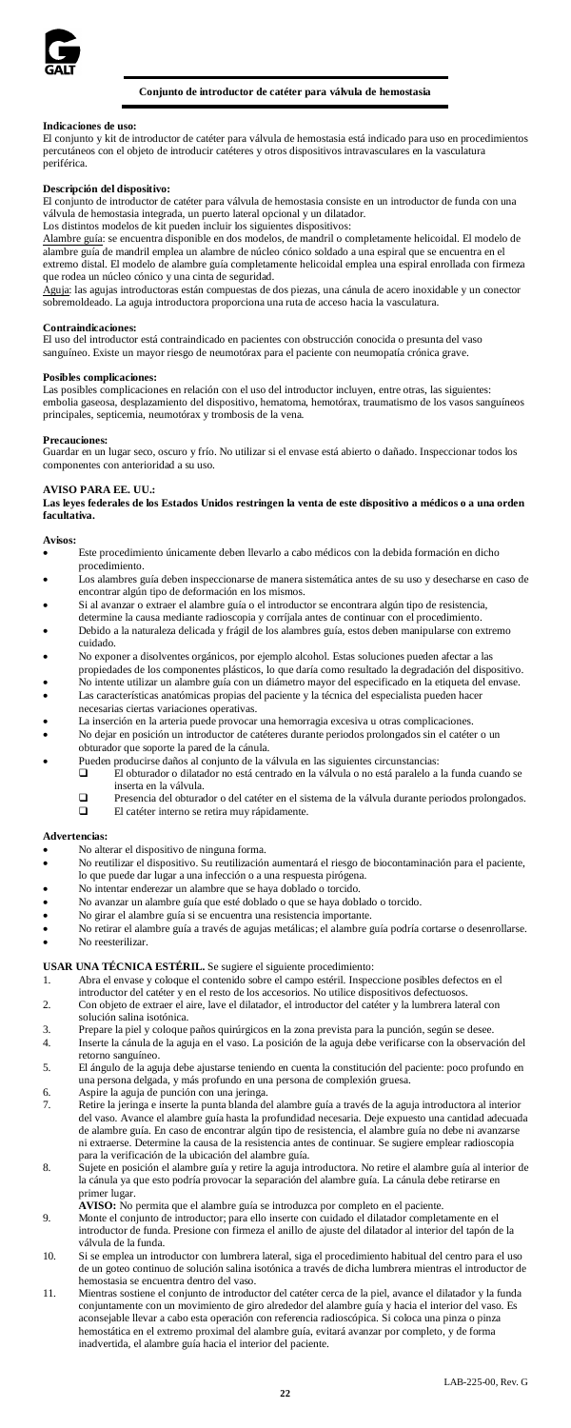

# **Conjunto de introductor de catéter para válvula de hemostasia**

#### **Indicaciones de us**

El conjunto y kit de introductor de catéter para válvula de hemostasia está indicado para uso en procedimientos percutáneos con el objeto de introducir catéteres y otros dispositivos intravasculares en la vasculatura periférica.

#### **Descripción del dispositivo:**

El conjunto de introductor de catéter para válvula de hemostasia consiste en un introductor de funda con una válvula de hemostasia integrada, un puerto lateral opcional y un dilatador. Los distintos modelos de kit pueden incluir los siguientes dispositivos:

Alambre guía: se encuentra disponible en dos modelos, de mandril o completamente helicoidal. El modelo de ambre guía de mandril emplea un alambre de núcleo cónico soldado a una espiral que se encuentra en el extremo distal. El modelo de alambre guía completamente helicoidal emplea una espiral enrollada con firmeza que rodea un núcleo cónico y una cinta de seguridad.

Aguja: las agujas introductoras están compuestas de dos piezas, una cánula de acero inoxidable y un conector<br>sobremoldeado. La aguja introductora proporciona una ruta de acceso hacia la vasculatura.

### **Contraindicaciones:**

El uso del introductor está contraindicado en pacientes con obstrucción conocida o presunta del vaso sanguíneo. Existe un mayor riesgo de neumotórax para el paciente con neumopatía crónica grave.

### **Posibles complicaciones:**

Las posibles complicaciones en relación con el uso del introductor incluyen, entre otras, las siguientes: embolia gaseosa, desplazamiento del dispositivo, hematoma, hemotórax, traumatismo de los vasos sanguíneos principales, septicemia, neumotórax y trombosis de la vena.

#### **Precauciones:**

Guardar en un lugar seco, oscuro y frío. No utilizar si el envase está abierto o dañado. Inspeccionar todos los componentes con anterioridad a su

# **AVISO PARA EE. UU.:**

**Las leyes federales de los Estados Unidos restringen la venta de este dispositivo a médicos o a una orden facultativa.**

# **Avisos:**

- Este procedimiento únicamente deben llevarlo a cabo médicos con la debida formación en dicho procedimiento.
- Los alambres guía deben inspeccionarse de manera sistemática antes de su uso y desecharse en caso de encontrar algún tipo de deformación en los mismos.
- Si al avanzar o extraer el alambre guía o el introductor se encontrara algún tipo de resistencia,
- determine la causa mediante radioscopia y corríjala antes de continuar con el procedimiento. • Debido a la naturaleza delicada y frágil de los alambres guía, estos deben manipularse con extremo
- cuidado.<br>No expor er a disolventes orgánicos, por ejemplo alcohol. Estas soluciones pueden afectar a las
- propiedades de los componentes plásticos, lo que daría como resultado la degradación del dispositivo. No intente utilizar un alambre guía con un diámetro mayor del especificado en la etiqueta del envase. Las características anatómicas propias del paciente y la técnica del especialista pueden hacer
- necesarias ciertas variaciones operativas.
- La inserción en la arteria puede provocar una hemorragia excesiva u otras complicaciones
- No dejar en posición un introductor de catéteres durante periodos prolongados sin el catéter o un obturador que soporte la pared de la cánula.
- Pueden producirse daños al conjunto de la válvula en las siguientes circunstancias:
	- El obturador o dilatador no está centrado en la válvula o no está paralelo a la funda cuando se inserta en la válvula.
	- **D** Presencia del obturador o del catéter en el sistema de la válvula durante periodos prolongados.<br>El catéter interno se retira muy ránidamente El catéter interno se retira muy rápidamente.

#### **Advertencias:**

- No alterar el dispositivo de ninguna forma.
- No reutilizar el dispositivo. Su reutilización aumentará el riesgo de biocontaminación para el paciente, lo que puede dar lugar a una infección o a una respuesta pirógena.
- No intentar enderezar un alambre que se haya doblado o torcido.
- No avanzar un alambre guía que esté doblado o que se haya doblado o torcido.
- No girar el alambre guía si se encuentra una resistencia importante.
- No retirar el alambre guía a través de agujas metálicas; el alambre guía podría cortarse o desenrollarse. No reesterilizar

- **USAR UNA TÉCNICA ESTÉRIL.** Se sugiere el siguiente procedimiento: 1. Abra el envase y coloque el contenido sobre el campo estéril. Inspeccione posibles defectos en el introductor del catéter y en el resto de los accesorios. No utilice dispositivos defectuosos. 2. Con objeto de extraer el aire, lave el dilatador, el introductor del catéter y la lumbrera lateral con
- solución salina isotónica.
- 3. Prepare la piel y coloque paños quirúrgicos en la zona prevista para la punción, según se desee.
- Inserte la cánula de la aguja en el vaso. La posición de la aguja debe verificarse con la observación del retorno sanguíneo. 5. El ángulo de la aguja debe ajustarse teniendo en cuenta la constitución del paciente: poco profundo en
- una persona delgada, y más profundo en una persona de complexión gruesa.
- 6. Aspire la aguja de punción con una jeringa.
- 7. Retire la jeringa e inserte la punta blanda del alambre guía a través de la aguja introductora al interior del vaso. Avance el alambre guía hasta la profundidad necesaria. Deje expuesto una cantidad adecuada de alambre guía. En caso de encontrar algún tipo de resistencia, el alambre guía no debe ni avanzarse ni extraerse. Determine la causa de la resistencia antes de continuar. Se sugiere emplear radioscopia para la verificación de la ubicación del alambre guía.
- 8. Sujete en posición el alambre guía y retire la aguja introductora. No retire el alambre guía al interior de la cánula ya que esto podría provocar la separación del alambre guía. La cánula debe retirarse en primer lugar.<br>**AVISO:** No permita que el alambre guía se introduzca por completo en el paciente.<br>9. Monte el conjunto de introductor; para ello inserte con cuidado el dilatador completamente en el
	-
- introductor de funda. Presione con firmeza el anillo de ajuste del dilatador al interior del tapón de la válvula de la funda.
- 10. Si se emplea un introductor con lumbrera lateral, siga el procedimiento habitual del centro para el us de un goteo continuo de solución salina isotónica a través de dicha lumbrera mientras el introductor de hemostasia se encuentra dentro del vaso.
- 11. Mientras sostiene el conjunto de introductor del catéter cerca de la piel, avance el dilatador y la funda conjuntamente con un movimiento de giro alrededor del alambre guía y hacia el interior del vaso. Es aconsejable llevar a cabo esta operación con referencia radioscópica. Si coloca una pinza o pinza hemostática en el extremo proximal del alambre guía, evitará avanzar por completo, y de forma inadvertida, el alambre guía hacia el interior del paciente.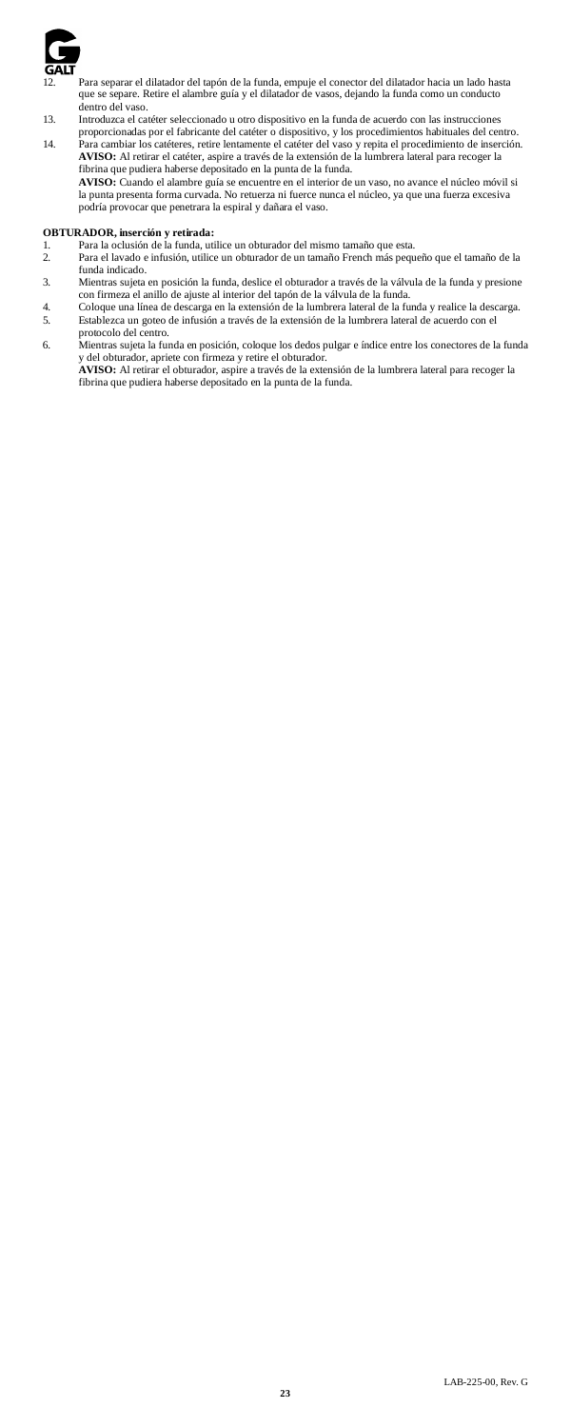

- 12. Para separar el dilatador del tapón de la funda, empuje el conector del dilatador hacia un lado hasta que se separe. Retire el alambre guía y el dilatador de vasos, dejando la funda como un conducto dentro del vaso.
- 13. Introduzca el catéter seleccionado u otro dispositivo en la funda de acuerdo con las instrucciones
- proporcionadas por el fabricante del catéter o dispositivo, y los procedimientos habituales del centro.<br>14. Para cambiar los catéteres, retire lentamente el catéter del vaso y repita el procedimiento de inserción.<br>14 **AVIS** fibrina que pudiera haberse depositado en la punta de la funda.

**AVISO:** Cuando el alambre guía se encuentre en el interior de un vaso, no avance el núcleo móvil si la punta presenta forma curvada. No retuerza ni fuerce nunca el núcleo, ya que una fuerza excesiva podría provocar que penetrara la espiral y dañara el vaso.

- **OBTURADOR, inserción y retirada:** 1. Para la oclusión de la funda, utilice un obturador del mismo tamaño que esta.
- 2. Para el lavado e infusión, utilice un obturador de un tamaño French más pequeño que el tamaño de la funda indicado.
- 3. Mientras sujeta en posición la funda, deslice el obturador a través de la válvula de la funda y presione<br>con firmeza el anillo de ajuste al interior del tapón de la válvula de la funda.<br>4. Coloque una línea de descarga
- 5. Establezca un goteo de infusión a través de la extensión de la lumbrera lateral de acuerdo con el protocolo del centro.
- 6. Mientras sujeta la funda en posición, coloque los dedos pulgar e índice entre los conectores de la funda<br>y del obturador, apriete con firmeza y retire el obturador.<br>**AVISO:** Al retirar el obturador, aspire a través de l
	- fibrina que pudiera haberse depositado en la punta de la funda.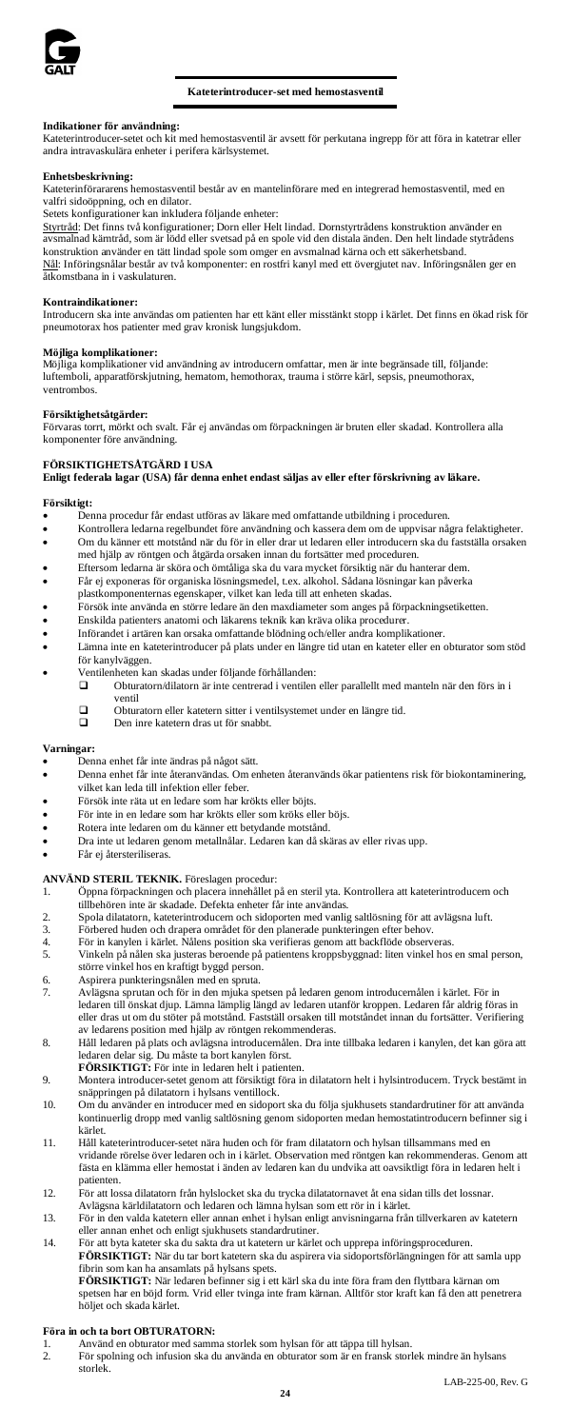

# **Kateterintroducer-set med hemostasventil**

# **Indikationer för användning:**

Kateterintroducer-setet och kit med hemostasventil är avsett för perkutana ingrepp för att föra in katetrar eller andra intravaskulära enheter i perifera kärlsystemet.

### **Enhetsbeskrivning:**

Kateterinförararens hemostasventil består av en mantelinförare med en integrerad hemostasventil, med en valfri sidoöppning, och en dilator.

Setets konfigurationer kan inkludera följande enheter:

Styrtråd: Det finns två konfigurationer; Dorn eller Helt lindad. Dornstyrtrådens konstruktion använder en avsmalnad kärntråd, som är lödd eller svetsad på en spole vid den distala änden. Den helt lindade stytrådens konstruktion använder en tätt lindad spole som omger en avsmalnad kärna och ett säkerhetsband. Nål: Införingsnålar består av två komponenter: en rostfri kanyl med ett övergjutet nav. Införingsnålen ger en mormganada består av e

**Kontraindikationer:** Introducern ska inte användas om patienten har ett känt eller misstänkt stopp i kärlet. Det finns en ökad risk för pneumotorax hos patienter med grav kronisk lungsjukdom.

#### **Möjliga komplikationer:**

Möjliga komplikationer vid användning av introducern omfattar, men är inte begränsade till, följande: luftemboli, apparatförskjutning, hematom, hemothorax, trauma i större kärl, sepsis, pneumothorax, ventrombos.

#### **Försiktighetsåtgärder:**

Förvaras torrt, mörkt och svalt. Får ej användas om förpackningen är bruten eller skadad. Kontrollera alla komponenter före användning.

### **FÖRSIKTIGHETSÅTGÄRD I USA**

# **Enligt federala lagar (USA) får denna enhet endast säljas av eller efter förskrivning av läkare.**

#### **Försiktigt:**

• Denna procedur får endast utföras av läkare med omfattande utbildning i proceduren.

- Kontrollera ledarna regelbundet före användning och kassera dem om de uppvisar några felaktigheter. • Om du känner ett motstånd när du för in eller drar ut ledaren eller introducern ska du fastställa orsaken
- med hjälp av röntgen och åtgärda orsaken innan du fortsätter med proceduren. Eftersom ledarna är sköra och ömtåliga ska du vara mycket försiktig när du hanterar dem.
- Får ej exponeras för organiska lösningsmedel, t.ex. alkohol. Sådana lösningar kan påverka
- plastkomponenternas egenskaper, vilket kan leda till att enheten skadas.
- 
- Försök inte använda en större ledare än den maxdiameter som anges på förpackningsetiketten. • Enskilda patienters anatomi och läkarens teknik kan kräva olika procedurer.
- Införandet i artären kan orsaka omfattande blödning och/eller andra komplikationer.
	- Lämna inte en kateterintroducer på plats under en längre tid utan en kateter eller en obturator som stöd för kanylväggen.
- - Ventilenheten kan skadas under följande förhållanden: Obturatorn/dilatorn är inte centrerad i ventilen eller parallellt med manteln när den förs in i ventil
		- Obturatorn eller katetern sitter i ventilsystemet under en längre tid. Den inre katetern dras ut för snabbt.
		-

#### **Varningar:**

- Denna enhet får inte ändras på något sätt.<br>• Denna enhet får inte återanvändas. Om et
- Denna enhet får inte återanvändas. Om enheten återanvänds ökar patientens risk för biokontaminering, vilket kan leda till infektion eller feber.
- Försök inte räta ut en ledare som har krökts eller böjts.
- För inte in en ledare som har krökts eller som kröks eller böjs.
- Rotera inte ledaren om du känner ett betydande motstånd.
- Dra inte ut ledaren genom metallnålar. Ledaren kan då skäras av eller rivas upp.
- Får ej återsteriliseras.

# **ANVÄND STERIL TEKNIK.** Föreslagen procedur:

- 1. Öppna förpackningen och placera innehållet på en steril yta. Kontrollera att kateterintroducern och
- tillbehören inte är skadade. Defekta enheter får inte användas.
- 2. Spola dilatatorn, kateterintroducern och sidoporten med vanlig saltlösning för att avlägsna luft. 3. Förbered huden och drapera området för den planerade punkteringen efter behov.
- 
- 4. För in kanylen i kärlet. Nålens position ska verifieras genom att backflöde observeras. 5. Vinkeln på nålen ska justeras beroende på patientens kroppsbyggnad: liten vinkel hos en smal person, vinkeln på nåten skå jastetas ceroener pro<br>större vinkel hos en kraftigt byggd person.<br>Aspirera punkteringsnålen med en spruta.
- 6. Aspirera punkteringsnålen med 7. November 1986 och spruta.
- 7. Avlägsna sprutan och för in den mjuka spetsen på ledaren genom introducernålen i kärlet. För in ledaren till önskat djup. Lämna lämplig längd av ledaren utanför kroppen. Ledaren får aldrig föras in eller dras ut om du stöter på motstånd. Fastställ orsaken till motståndet innan du fortsätter. Verifiering av ledarens position med hjälp av röntgen rekommenderas.
- 8. Håll ledaren på plats och avlägsna introducernålen. Dra inte tillbaka ledaren i kanylen, det kan göra att ledaren delar sig. Du måste ta bort kanylen först. **FÖRSIKTIGT:** För inte in ledaren helt i patienten.
- 9. Montera introducer-setet genom att försiktigt föra in dilatatorn helt i hylsintroducern. Tryck bestämt in snäppringen på dilatatorn i hylsans ventillock.
- 10. Om du använder en introducer med en sidoport ska du följa sjukhusets standardrutiner för att använda kontinuerlig dropp med vanlig saltlösning genom sidoporten medan hemostatintroducern befinner sig i kärlet.
- 11. Håll kateterintroducer-setet nära huden och för fram dilatatorn och hylsan tillsammans med en vridande rörelse över ledaren och in i kärlet. Observation med röntgen kan rekommenderas. Genom att fästa en klämma eller hemostat i änden av ledaren kan du undvika att oavsiktligt föra in ledaren helt i patienten.
- 12. För att lossa dilatatorn från hylslocket ska du trycka dilatatornavet åt ena sidan tills det lossnar.<br>A vlägsna kärldilatatorn och ledaren och lämna hylsan som ett rör in i kärlet.<br>13. För in den valda katetern eller a
- 
- eller annan enhet och enligt sjukhusets standardrutiner. 14. För att byta kateter ska du sakta dra ut katetern ur kärlet och upprepa införingsproceduren.
- **FÖRSIKTIGT:** När du tar bort katetern ska du aspirera via sidoportsförlängningen för att samla upp fibrin som kan ha ansamlats på hylsans spets.

**FÖRSIKTIGT:** När ledaren befinner sig i ett kärl ska du inte föra fram den flyttbara kärnan om spetsen har en böjd form. Vrid eller tvinga inte fram kärnan. Alltför stor kraft kan få den att penetrera höljet och skada kärlet.

# **Föra in och ta bort OBTURATORN:**

- 1. Använd en obturator med samma storlek som hylsan för att täppa till hylsan.<br>1. Bör spolning och infusion ska du använda en obturator som är en fransk storlek mindre än hylsans
- För spolning och infusion ska du använda en obturator som är storlek.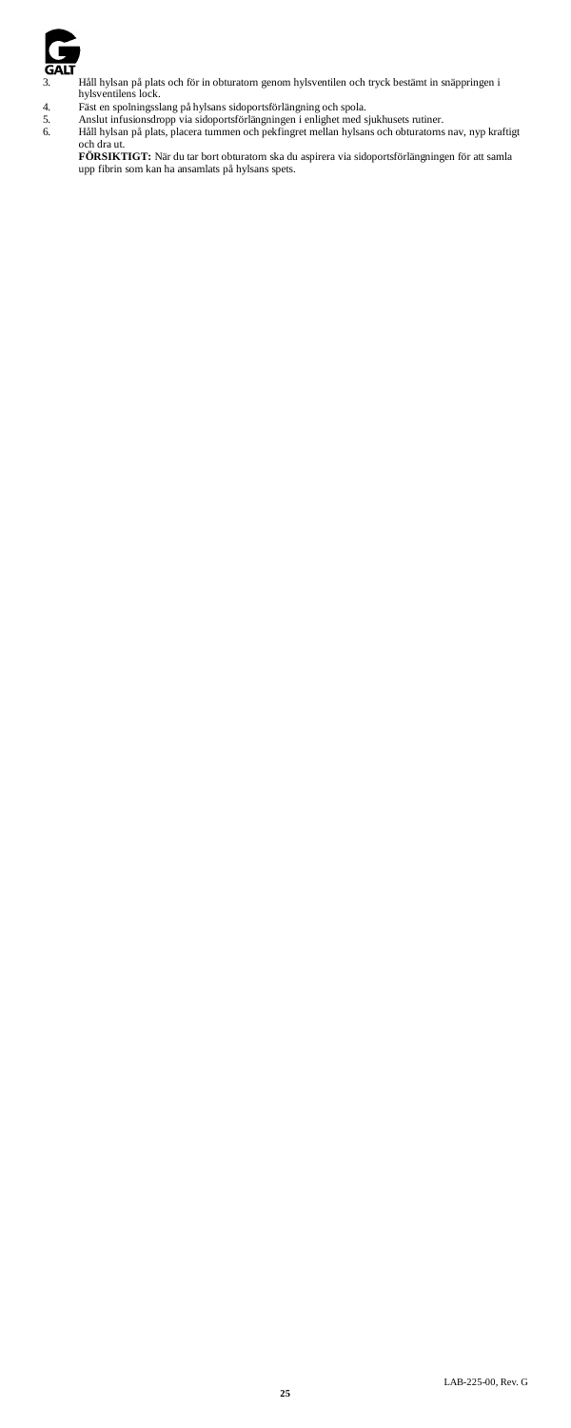

3. Håll hylsan på plats och för in obturatorn genom hylsventilen och tryck bestämt in snäppringen i hylsventilens lock.

- -

4. Fäst en spolningsslang på hylsans sidoportsförlängning och spola.<br>5. Anslut infusionsdropp via sidoportsförlängningen i enlighet med sjukhusets rutiner.<br>6. Håll hylsan på plats, placera tummen

och dra ut.<br>**FÖRSIKTIGT:** När du tar bort obturatorn ska du aspirera via sidoportsförlängningen för att samla<br>upp fibrin som kan ha ansamlats på hylsans spets.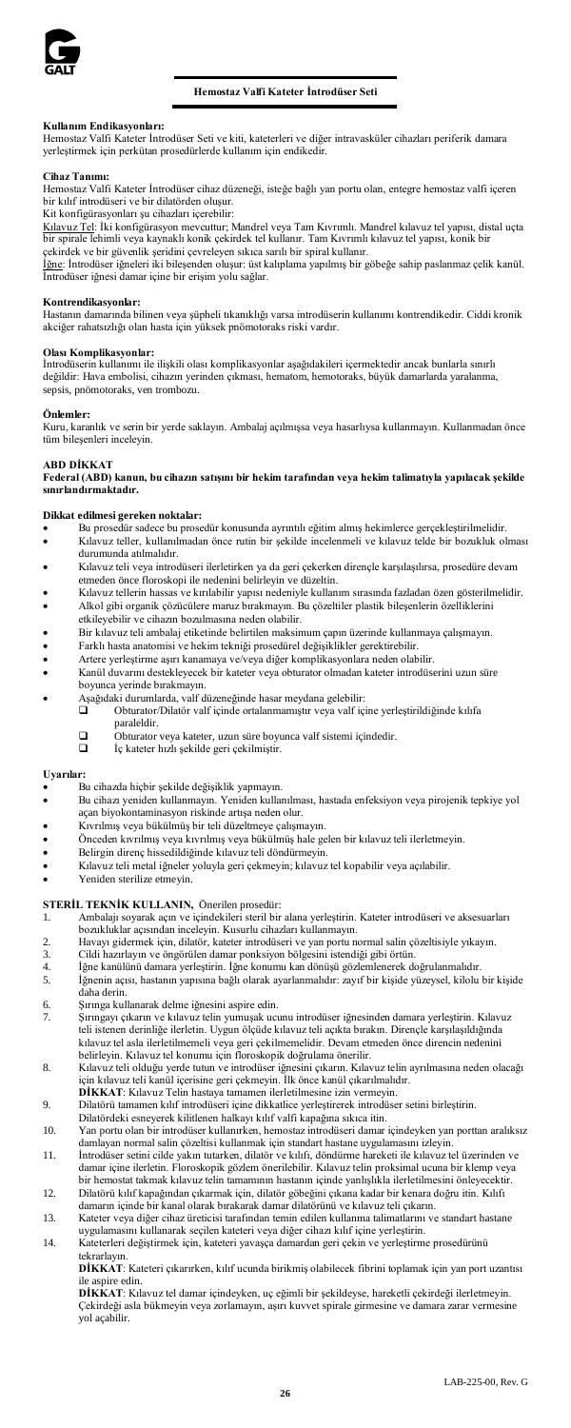

**Kullanım Endikasyonları:** Hemostaz Valfi Kateter İntrodüser Seti ve kiti, kateterleri ve diğer intravasküler cihazları periferik damara yerleştirmek için perkütan prosedürlerde kullanım için endiked

#### **Cihaz Tanımı:**

Hemostaz Valfi Kateter İntrodüser cihaz düzeneği, isteğe bağlı yan portu olan, entegre hemostaz valfi içeren bir kılıf introdüseri ve bir dilatörden oluşur. Kit konfigürasyonları şu cihazları içerebilir:

Kılavuz Tel: İki konfigürasyon mevcuttur; Mandrel veya Tam Kıvrımlı. Mandrel kılavuz tel yapısı, distal uçta<br>bir spirale lehimli veya kaynaklı konik çekirdek tel kullanır. Tam Kıvrımlı kılavuz tel yapısı, konik bir

çekirdek ve bir güvenlik şeridini çevreleyen sıkıca sarılı bir spiral kullanır.<br><u>İğne</u>: İntrodüser iğneleri iki bileşenden oluşur: üst kalplama yapılmış bir göbeğe sahip paslanmaz çelik kanül.<br>İntrodüser iğnesi damar içine

**Kontrendikasyonlar:**<br>Hastanın damarında bilinen veya şüpheli tıkanıklığı varsa introdüserin kullanımı kontrendikedir. Ciddi kronik akciğer rahatsızlığı olan hasta için yüksek pnömotoraks riski vardır.

#### **Olası Komplikasyonlar:**

İntrodüserin kullanımı ile ilişkili olası komplikasyonlar aşağıdakileri içermektedir ancak bunlarla sınırlı değildir: Hava embolisi, cihazın yerinden çıkması, hematom, hemotoraks, büyük damarlarda yaralanma, sepsis, pnömotoraks, ven trombozu.

#### **Önlemler:**

Kuru, karanlık ve serin bir yerde saklayın. Ambalaj açılmışsa veya hasarlıysa kullanmayın. Kullanmadan önce tüm bileşenleri inceleyin.

#### **ABD DİKKAT**

**Federal (ABD) kanun, bu cihazın satışını bir hekim tarafından veya hekim talimatıyla yapılacak şekilde sınırlandırmaktadır.** 

### **Dikkat edilmesi gereken noktalar:**

• Bu prosedür sadece bu prosedür konusunda ayrıntılı eğitim almış hekimlerce gerçekleştirilmelidir.

- Kılavuz teller, kullanılmadan önce rutin bir şekilde incelenmeli ve kılavuz telde bir bozukluk olması durumunda atılmalıdır.
- Kılavuz teli veya introdüseri ilerletirken ya da geri çekerken dirençle karşılaşılırsa, prosedüre devam etmeden önce floroskopi ile nedenini belirleyin ve düzeltin.
- Kılavuz tellerin hassas ve kırılabilir yapısı nedeniyle kullanım sırasında fazladan özen gösterilmelidir. • Alkol gibi organik çözücülere maruz bırakmayın. Bu çözeltiler plastik bileşenlerin özelliklerini
- etkileyebilir ve cihazın bozulmasına neden olabilir.
- Bir kılavuz teli ambalaj etiketinde belirtilen maksimum çapın üzerinde kullanmaya çalışmayın.
- Farklı hasta anatomisi ve hekim tekniği prosedürel değişiklikler gerektirebilir.
- Artere yerleştirme aşırı kanamaya ve/veya diğer komplikasyonlara neden olabilir. • Kanül duvarını destekleyecek bir kateter veya obturator olmadan kateter introdüserini uzun süre
- boyunca yerinde bırakmayın.
- Aşağıdaki durumlarda, valf düzeneğinde hasar meydana gelebilir:
	- Obturator/Dilatör valf içinde ortalanmamıştır veya valf içine yerleştirildiğinde kılıfa paraleldir.
		- Obturator veya kateter, uzun süre boyunca valf sistemi içindedir. İç kateter hızlı şekilde geri çekilmiştir.
		-

#### **Uyarılar:**

- Bu cihazda hiçbir şekilde değişiklik yapmayın.
- Bu cihazı yeniden kullanmayın. Yeniden kullanılması, hastada enfeksiyon veya pirojenik tepkiye yol açan biyokontaminasyon riskinde artışa neden olur.
- Kıvrılmış veya bükülmüş bir teli düzeltmeye çalışmayın.
- Önceden kıvrılmış veya kıvrılmış veya bükülmüş hale gelen bir kılavuz teli ilerletmeyin.
- Belirgin direnç hissedildiğinde kılavuz teli döndürmeyin.
- Kılavuz teli metal iğneler yoluyla geri çekmeyin; kılavuz tel kopabilir veya açılabilir.
- Yeniden sterilize etmeyin

# **STERİL TEKNİK KULLANIN, Önerilen prosedür:**<br>1 Ambalajı sovarak açın ve içindekileri steril bir

- 1. Ambalajı soyarak açın ve içindekileri steril bir alana yerleştirin. Kateter introdüseri ve aksesuarları bozukluklar açısından inceleyin. Kusurlu cihazları kullanmayın.
- 2. Havayı gidermek için, dilatör, kateter introdüseri ve yan portu normal salin çözeltisiyle yıkayın.
- 3. Cildi hazırlayın ve öngörülen damar ponksiyon bölgesini istendiği gibi örtü<br>4. İğne kanülünü damara yerleştirin. İğne konumu kan dönüşü gözlemlenerek
- 4. İğne kanülünü damara yerleştirin. İğne konumu kan dönüşü gözlemlenerek doğrulanmalıdır. 5. İğnenin açısı, hastanın yapısına bağlı olarak ayarlanmalıdır: zayıf bir kişide yüzeysel, kilolu bir kişide daha derin.
- 6. Şırınga kullanarak delme iğnesini aspire edin.

7. Şırıngayı çıkarın ve kılavuz telin yumuşak ucunu introdüser iğnesinden damara yerleştirin. Kılavuz teli istenen derinliğe ilerletin. Uygun ölçüde kılavuz teli açıkta bırakın. Dirençle karşılaşıldığında kılavuz tel asla ilerletilmemeli veya geri çekilmemelidir. Devam etmeden önce direncin nedenini belirleyin. Kılavuz tel konumu için floroskopik doğrulama önerilir. 8. Kılavuz teli olduğu yerde tutun ve introdüser iğnesini çıkarın. Kılavuz telin ayrılmasına neden olacağı

- için kılavuz teli kanül içerisine geri çekmeyin. İlk önce kanül çıkarılmalıdır.
- **DİKKAT**: Kılavuz Telin hastaya tamamen ilerletilmesine izin vermeyin. 9. Dilatörü tamamen kılıf introdüseri içine dikkatlice yerleştirerek introdüser setini birleştirin.
- 
- Dilatördeki esneyerek kilitlenen halkayı kılıf valfi kapağına sıkıca itin. 10. Yan portu olan bir introdüser kullanırken, hemostaz introdüseri damar içindeyken yan porttan aralıksız damlayan normal salin çözeltisi kullanmak için standart hastane uygulamasını izleyin.
- 11. İntrodüser setini cilde yakın tutarken, dilatör ve kılıfı, döndürme hareketi ile kılavuz tel üzerinden ve damar içine ilerletin. Floroskopik gözlem önerilebilir. Kılavuz telin proksimal ucuna bir klemp veya bir hemostat takmak kılavuz telin tamamının hastanın içinde yanlışlıkla ilerletilmesini önleyecektir.
- 12. Dilatörü kılıf kapağından çıkarmak için, dilatör göbeğini çıkana kadar bir kenara doğru itin. Kılıfı damarın içinde bir kanal olarak bırakarak damar dilatörünü ve kılavuz teli çıkarın. 13. Kateter veya diğer cihaz üreticisi tarafından temin edilen kullanma talimatlarını ve standart hastane
- uygulamasını kullanarak seçilen kateteri veya diğer cihazı kılıf içine yerleştirin. 14. Kateterleri değiştirmek için, kateteri yavaşça damardan geri çekin ve yerleştirme prosedürünü

tekrarlayın. **DİKKAT**: Kateteri çıkarırken, kılıf ucunda birikmiş olabilecek fibrini toplamak için yan port uzantısı

# ile aspire edin.

**DİKKAT**: Kılavuz tel damar içindeyken, uç eğimli bir şekildeyse, hareketli çekirdeği ilerletmeyin. Çekirdeği asla bükmeyin veya zorlamayın, aşırı kuvvet spirale girmesine ve damara zarar vermesine yol açabilir.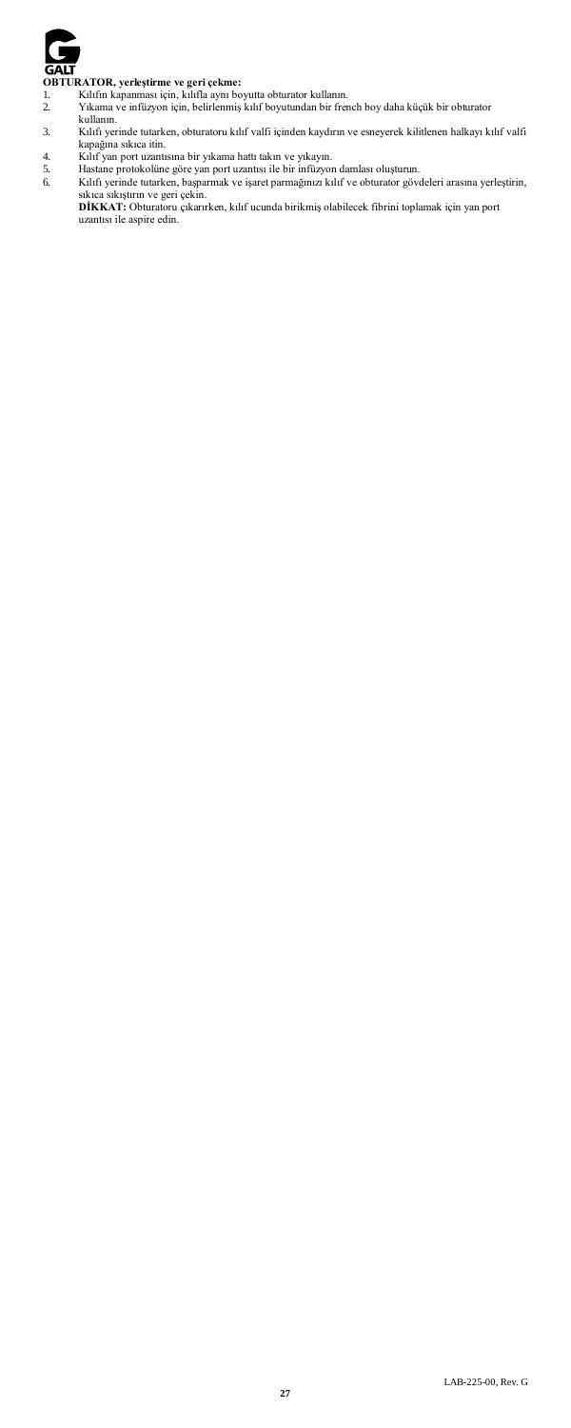

- 
- **OBTURATOR, yerleştirme ve geri çekme:**<br>1. Kılıfın kapanması için, kılıfla aynı boyutta obturator kullanın.<br>2. Yıkama ve infüzyon için, belirlenmiş kılıf boyutundan bir french boy daha küçük bir obturator<br>kullanın.
- 3. Kılıfı yerinde tutarken, obturatoru kılıf valfi içinden kaydırın ve esneyerek kilitlenen halkayı kılıf valfi kapağına sıkıca itin.
- 
- 
- 4. Kılıf yan port uzantısına bir yıkama hattı takın ve yıkayın.<br>5. Hastane protokolüne göre yan port uzantısı ile bir infüzyon damlası oluşturun.<br>6. Kılıfı yerinde tutarken, başparmak ve işaret parmağınızı kılıf ve obturat
	- **DİKKAT:** Obturatoru çıkarırken, kılıf ucunda birikmiş olabilecek fibrini toplamak için yan port uzantısı ile aspire edin.